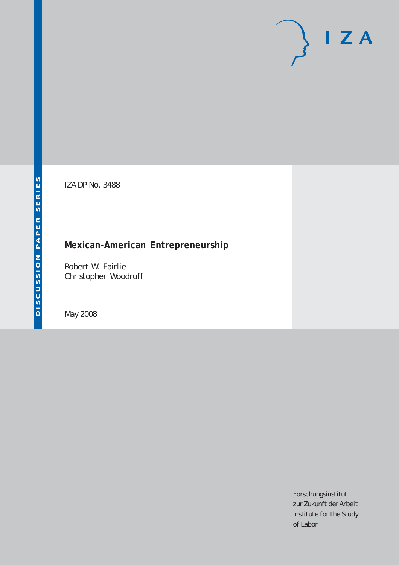# $I Z A$

IZA DP No. 3488

# **Mexican-American Entrepreneurship**

Robert W. Fairlie Christopher Woodruff

May 2008

Forschungsinstitut zur Zukunft der Arbeit Institute for the Study of Labor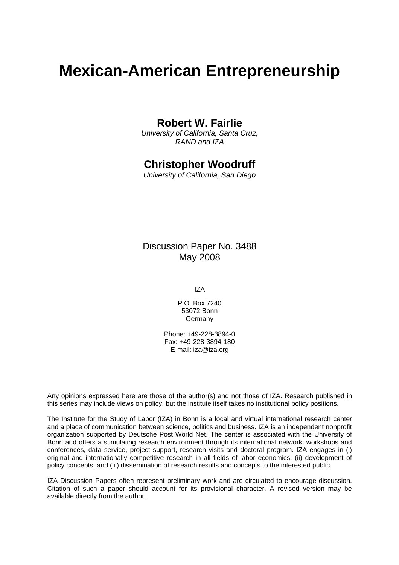# **Mexican-American Entrepreneurship**

# **Robert W. Fairlie**

*University of California, Santa Cruz, RAND and IZA* 

# **Christopher Woodruff**

*University of California, San Diego* 

# Discussion Paper No. 3488 May 2008

IZA

P.O. Box 7240 53072 Bonn Germany

Phone: +49-228-3894-0 Fax: +49-228-3894-180 E-mail: [iza@iza.org](mailto:iza@iza.org)

Any opinions expressed here are those of the author(s) and not those of IZA. Research published in this series may include views on policy, but the institute itself takes no institutional policy positions.

The Institute for the Study of Labor (IZA) in Bonn is a local and virtual international research center and a place of communication between science, politics and business. IZA is an independent nonprofit organization supported by Deutsche Post World Net. The center is associated with the University of Bonn and offers a stimulating research environment through its international network, workshops and conferences, data service, project support, research visits and doctoral program. IZA engages in (i) original and internationally competitive research in all fields of labor economics, (ii) development of policy concepts, and (iii) dissemination of research results and concepts to the interested public.

IZA Discussion Papers often represent preliminary work and are circulated to encourage discussion. Citation of such a paper should account for its provisional character. A revised version may be available directly from the author.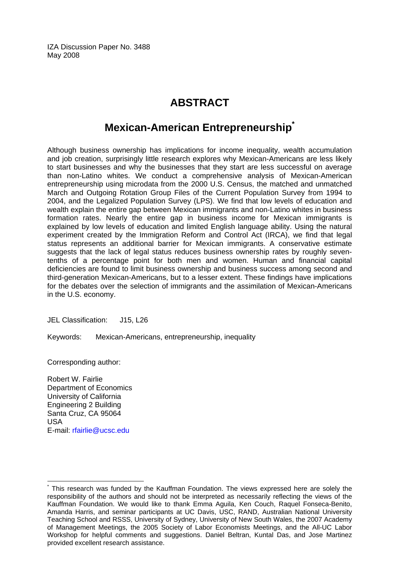IZA Discussion Paper No. 3488 May 2008

# **ABSTRACT**

# **Mexican-American Entrepreneurship[\\*](#page-2-0)**

Although business ownership has implications for income inequality, wealth accumulation and job creation, surprisingly little research explores why Mexican-Americans are less likely to start businesses and why the businesses that they start are less successful on average than non-Latino whites. We conduct a comprehensive analysis of Mexican-American entrepreneurship using microdata from the 2000 U.S. Census, the matched and unmatched March and Outgoing Rotation Group Files of the Current Population Survey from 1994 to 2004, and the Legalized Population Survey (LPS). We find that low levels of education and wealth explain the entire gap between Mexican immigrants and non-Latino whites in business formation rates. Nearly the entire gap in business income for Mexican immigrants is explained by low levels of education and limited English language ability. Using the natural experiment created by the Immigration Reform and Control Act (IRCA), we find that legal status represents an additional barrier for Mexican immigrants. A conservative estimate suggests that the lack of legal status reduces business ownership rates by roughly seventenths of a percentage point for both men and women. Human and financial capital deficiencies are found to limit business ownership and business success among second and third-generation Mexican-Americans, but to a lesser extent. These findings have implications for the debates over the selection of immigrants and the assimilation of Mexican-Americans in the U.S. economy.

JEL Classification: J15, L26

Keywords: Mexican-Americans, entrepreneurship, inequality

Corresponding author:

Robert W. Fairlie Department of Economics University of California Engineering 2 Building Santa Cruz, CA 95064 USA E-mail: [rfairlie@ucsc.edu](mailto:rfairlie@ucsc.edu) 

<span id="page-2-0"></span><sup>\*</sup> This research was funded by the Kauffman Foundation. The views expressed here are solely the responsibility of the authors and should not be interpreted as necessarily reflecting the views of the Kauffman Foundation. We would like to thank Emma Aguila, Ken Couch, Raquel Fonseca-Benito, Amanda Harris, and seminar participants at UC Davis, USC, RAND, Australian National University Teaching School and RSSS, University of Sydney, University of New South Wales, the 2007 Academy of Management Meetings, the 2005 Society of Labor Economists Meetings, and the All-UC Labor Workshop for helpful comments and suggestions. Daniel Beltran, Kuntal Das, and Jose Martinez provided excellent research assistance.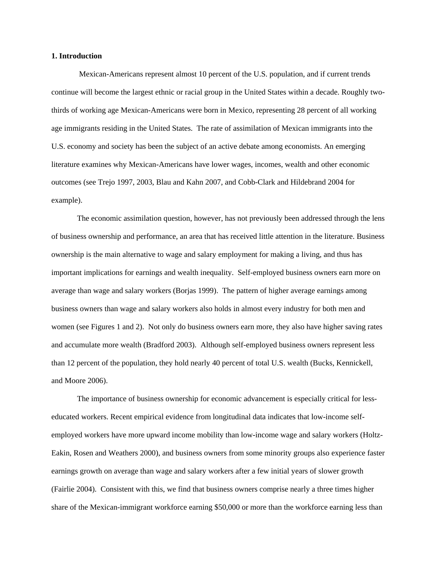### **1. Introduction**

 Mexican-Americans represent almost 10 percent of the U.S. population, and if current trends continue will become the largest ethnic or racial group in the United States within a decade. Roughly twothirds of working age Mexican-Americans were born in Mexico, representing 28 percent of all working age immigrants residing in the United States. The rate of assimilation of Mexican immigrants into the U.S. economy and society has been the subject of an active debate among economists. An emerging literature examines why Mexican-Americans have lower wages, incomes, wealth and other economic outcomes (see Trejo 1997, 2003, Blau and Kahn 2007, and Cobb-Clark and Hildebrand 2004 for example).

 The economic assimilation question, however, has not previously been addressed through the lens of business ownership and performance, an area that has received little attention in the literature. Business ownership is the main alternative to wage and salary employment for making a living, and thus has important implications for earnings and wealth inequality. Self-employed business owners earn more on average than wage and salary workers (Borjas 1999). The pattern of higher average earnings among business owners than wage and salary workers also holds in almost every industry for both men and women (see Figures 1 and 2). Not only do business owners earn more, they also have higher saving rates and accumulate more wealth (Bradford 2003). Although self-employed business owners represent less than 12 percent of the population, they hold nearly 40 percent of total U.S. wealth (Bucks, Kennickell, and Moore 2006).

 The importance of business ownership for economic advancement is especially critical for lesseducated workers. Recent empirical evidence from longitudinal data indicates that low-income selfemployed workers have more upward income mobility than low-income wage and salary workers (Holtz-Eakin, Rosen and Weathers 2000), and business owners from some minority groups also experience faster earnings growth on average than wage and salary workers after a few initial years of slower growth (Fairlie 2004). Consistent with this, we find that business owners comprise nearly a three times higher share of the Mexican-immigrant workforce earning \$50,000 or more than the workforce earning less than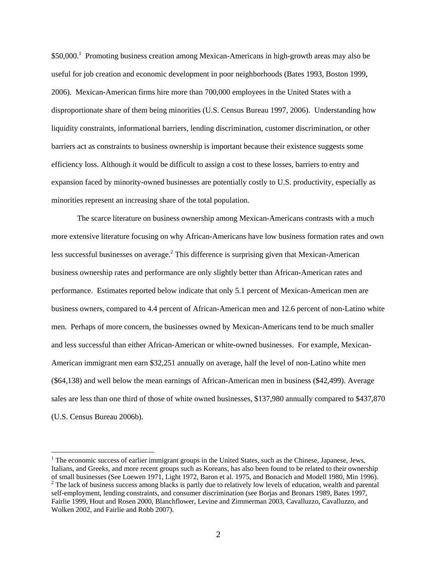\$50,000.<sup>[1](#page-4-0)</sup> Promoting business creation among Mexican-Americans in high-growth areas may also be useful for job creation and economic development in poor neighborhoods (Bates 1993, Boston 1999, 2006). Mexican-American firms hire more than 700,000 employees in the United States with a disproportionate share of them being minorities (U.S. Census Bureau 1997, 2006). Understanding how liquidity constraints, informational barriers, lending discrimination, customer discrimination, or other barriers act as constraints to business ownership is important because their existence suggests some efficiency loss. Although it would be difficult to assign a cost to these losses, barriers to entry and expansion faced by minority-owned businesses are potentially costly to U.S. productivity, especially as minorities represent an increasing share of the total population.

The scarce literature on business ownership among Mexican-Americans contrasts with a much more extensive literature focusing on why African-Americans have low business formation rates and own less successful businesses on average. $2$  This difference is surprising given that Mexican-American business ownership rates and performance are only slightly better than African-American rates and performance. Estimates reported below indicate that only 5.1 percent of Mexican-American men are business owners, compared to 4.4 percent of African-American men and 12.6 percent of non-Latino white men. Perhaps of more concern, the businesses owned by Mexican-Americans tend to be much smaller and less successful than either African-American or white-owned businesses. For example, Mexican-American immigrant men earn \$32,251 annually on average, half the level of non-Latino white men (\$64,138) and well below the mean earnings of African-American men in business (\$42,499). Average sales are less than one third of those of white owned businesses, \$137,980 annually compared to \$437,870 (U.S. Census Bureau 2006b).

<span id="page-4-1"></span><span id="page-4-0"></span> $1$  The economic success of earlier immigrant groups in the United States, such as the Chinese, Japanese, Jews, Italians, and Greeks, and more recent groups such as Koreans, has also been found to be related to their ownership of small businesses (See Loewen 1971, Light 1972, Baron et al. 1975, and Bonacich and Modell 1980, Min 1996). <sup>2</sup>  $2$  The lack of business success among blacks is partly due to relatively low levels of education, wealth and parental self-employment, lending constraints, and consumer discrimination (see Borjas and Bronars 1989, Bates 1997, Fairlie 1999, Hout and Rosen 2000, Blanchflower, Levine and Zimmerman 2003, Cavalluzzo, Cavalluzzo, and Wolken 2002, and Fairlie and Robb 2007).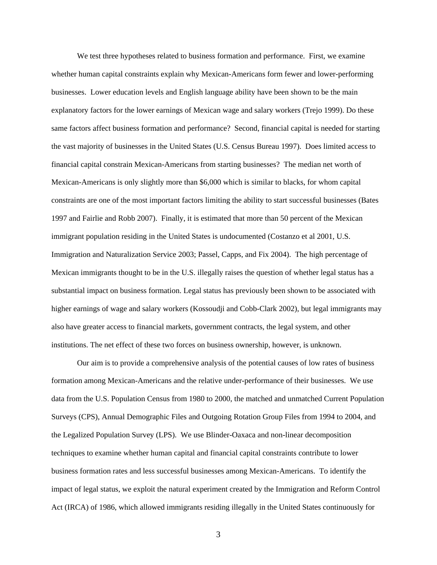We test three hypotheses related to business formation and performance. First, we examine whether human capital constraints explain why Mexican-Americans form fewer and lower-performing businesses. Lower education levels and English language ability have been shown to be the main explanatory factors for the lower earnings of Mexican wage and salary workers (Trejo 1999). Do these same factors affect business formation and performance? Second, financial capital is needed for starting the vast majority of businesses in the United States (U.S. Census Bureau 1997). Does limited access to financial capital constrain Mexican-Americans from starting businesses? The median net worth of Mexican-Americans is only slightly more than \$6,000 which is similar to blacks, for whom capital constraints are one of the most important factors limiting the ability to start successful businesses (Bates 1997 and Fairlie and Robb 2007). Finally, it is estimated that more than 50 percent of the Mexican immigrant population residing in the United States is undocumented (Costanzo et al 2001, U.S. Immigration and Naturalization Service 2003; Passel, Capps, and Fix 2004). The high percentage of Mexican immigrants thought to be in the U.S. illegally raises the question of whether legal status has a substantial impact on business formation. Legal status has previously been shown to be associated with higher earnings of wage and salary workers (Kossoudji and Cobb-Clark 2002), but legal immigrants may also have greater access to financial markets, government contracts, the legal system, and other institutions. The net effect of these two forces on business ownership, however, is unknown.

Our aim is to provide a comprehensive analysis of the potential causes of low rates of business formation among Mexican-Americans and the relative under-performance of their businesses. We use data from the U.S. Population Census from 1980 to 2000, the matched and unmatched Current Population Surveys (CPS), Annual Demographic Files and Outgoing Rotation Group Files from 1994 to 2004, and the Legalized Population Survey (LPS). We use Blinder-Oaxaca and non-linear decomposition techniques to examine whether human capital and financial capital constraints contribute to lower business formation rates and less successful businesses among Mexican-Americans. To identify the impact of legal status, we exploit the natural experiment created by the Immigration and Reform Control Act (IRCA) of 1986, which allowed immigrants residing illegally in the United States continuously for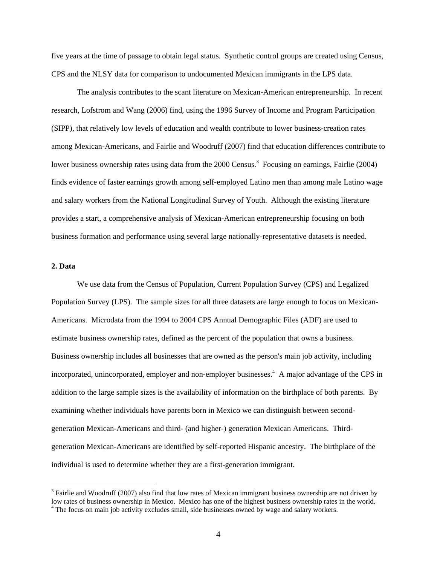five years at the time of passage to obtain legal status. Synthetic control groups are created using Census, CPS and the NLSY data for comparison to undocumented Mexican immigrants in the LPS data.

The analysis contributes to the scant literature on Mexican-American entrepreneurship. In recent research, Lofstrom and Wang (2006) find, using the 1996 Survey of Income and Program Participation (SIPP), that relatively low levels of education and wealth contribute to lower business-creation rates among Mexican-Americans, and Fairlie and Woodruff (2007) find that education differences contribute to lower business ownership rates using data from the 2000 Census.<sup>3</sup> Focusing on earnings, Fairlie (2004) finds evidence of faster earnings growth among self-employed Latino men than among male Latino wage and salary workers from the National Longitudinal Survey of Youth. Although the existing literature provides a start, a comprehensive analysis of Mexican-American entrepreneurship focusing on both business formation and performance using several large nationally-representative datasets is needed.

### **2. Data**

 $\overline{a}$ 

We use data from the Census of Population, Current Population Survey (CPS) and Legalized Population Survey (LPS). The sample sizes for all three datasets are large enough to focus on Mexican-Americans. Microdata from the 1994 to 2004 CPS Annual Demographic Files (ADF) are used to estimate business ownership rates, defined as the percent of the population that owns a business. Business ownership includes all businesses that are owned as the person's main job activity, including incorporated, unincorporated, employer and non-employer businesses.<sup>[4](#page-6-1)</sup> A major advantage of the CPS in addition to the large sample sizes is the availability of information on the birthplace of both parents. By examining whether individuals have parents born in Mexico we can distinguish between secondgeneration Mexican-Americans and third- (and higher-) generation Mexican Americans. Thirdgeneration Mexican-Americans are identified by self-reported Hispanic ancestry. The birthplace of the individual is used to determine whether they are a first-generation immigrant.

<span id="page-6-1"></span><span id="page-6-0"></span> $3$  Fairlie and Woodruff (2007) also find that low rates of Mexican immigrant business ownership are not driven by low rates of business ownership in Mexico. Mexico has one of the highest business ownership rates in the world. <sup>4</sup> The focus on main job activity excludes small, side businesses owned by wage and salary workers.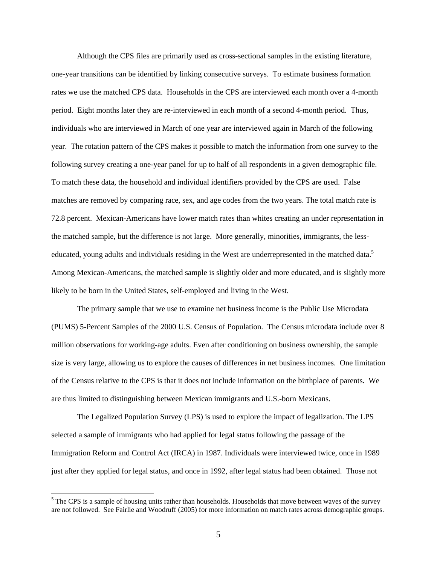Although the CPS files are primarily used as cross-sectional samples in the existing literature, one-year transitions can be identified by linking consecutive surveys. To estimate business formation rates we use the matched CPS data. Households in the CPS are interviewed each month over a 4-month period. Eight months later they are re-interviewed in each month of a second 4-month period. Thus, individuals who are interviewed in March of one year are interviewed again in March of the following year. The rotation pattern of the CPS makes it possible to match the information from one survey to the following survey creating a one-year panel for up to half of all respondents in a given demographic file. To match these data, the household and individual identifiers provided by the CPS are used. False matches are removed by comparing race, sex, and age codes from the two years. The total match rate is 72.8 percent. Mexican-Americans have lower match rates than whites creating an under representation in the matched sample, but the difference is not large. More generally, minorities, immigrants, the less-educated, young adults and individuals residing in the West are underrepresented in the matched data.<sup>[5](#page-7-0)</sup> Among Mexican-Americans, the matched sample is slightly older and more educated, and is slightly more likely to be born in the United States, self-employed and living in the West.

The primary sample that we use to examine net business income is the Public Use Microdata (PUMS) 5-Percent Samples of the 2000 U.S. Census of Population. The Census microdata include over 8 million observations for working-age adults. Even after conditioning on business ownership, the sample size is very large, allowing us to explore the causes of differences in net business incomes. One limitation of the Census relative to the CPS is that it does not include information on the birthplace of parents. We are thus limited to distinguishing between Mexican immigrants and U.S.-born Mexicans.

The Legalized Population Survey (LPS) is used to explore the impact of legalization. The LPS selected a sample of immigrants who had applied for legal status following the passage of the Immigration Reform and Control Act (IRCA) in 1987. Individuals were interviewed twice, once in 1989 just after they applied for legal status, and once in 1992, after legal status had been obtained. Those not

<span id="page-7-0"></span> $<sup>5</sup>$  The CPS is a sample of housing units rather than households. Households that move between waves of the survey</sup> are not followed. See Fairlie and Woodruff (2005) for more information on match rates across demographic groups.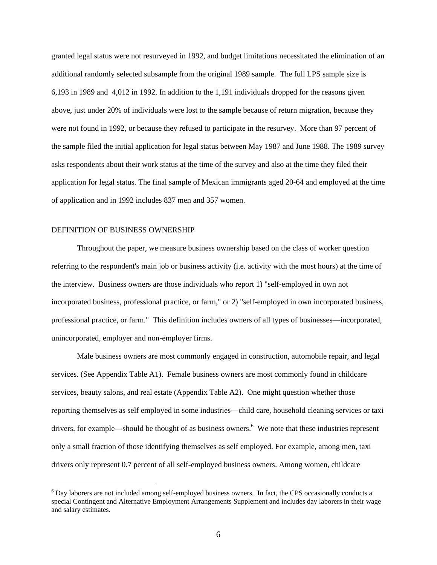granted legal status were not resurveyed in 1992, and budget limitations necessitated the elimination of an additional randomly selected subsample from the original 1989 sample. The full LPS sample size is 6,193 in 1989 and 4,012 in 1992. In addition to the 1,191 individuals dropped for the reasons given above, just under 20% of individuals were lost to the sample because of return migration, because they were not found in 1992, or because they refused to participate in the resurvey. More than 97 percent of the sample filed the initial application for legal status between May 1987 and June 1988. The 1989 survey asks respondents about their work status at the time of the survey and also at the time they filed their application for legal status. The final sample of Mexican immigrants aged 20-64 and employed at the time of application and in 1992 includes 837 men and 357 women.

### DEFINITION OF BUSINESS OWNERSHIP

 $\overline{a}$ 

Throughout the paper, we measure business ownership based on the class of worker question referring to the respondent's main job or business activity (i.e. activity with the most hours) at the time of the interview. Business owners are those individuals who report 1) "self-employed in own not incorporated business, professional practice, or farm," or 2) "self-employed in own incorporated business, professional practice, or farm." This definition includes owners of all types of businesses—incorporated, unincorporated, employer and non-employer firms.

Male business owners are most commonly engaged in construction, automobile repair, and legal services. (See Appendix Table A1). Female business owners are most commonly found in childcare services, beauty salons, and real estate (Appendix Table A2). One might question whether those reporting themselves as self employed in some industries—child care, household cleaning services or taxi drivers, for example—should be thought of as business owners.<sup>[6](#page-8-0)</sup> We note that these industries represent only a small fraction of those identifying themselves as self employed. For example, among men, taxi drivers only represent 0.7 percent of all self-employed business owners. Among women, childcare

<span id="page-8-0"></span><sup>&</sup>lt;sup>6</sup> Day laborers are not included among self-employed business owners. In fact, the CPS occasionally conducts a special Contingent and Alternative Employment Arrangements Supplement and includes day laborers in their wage and salary estimates.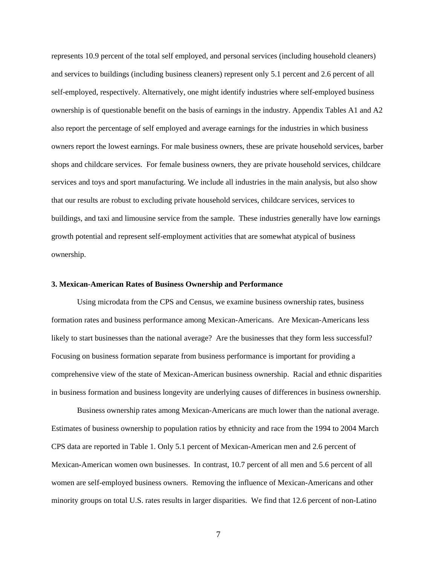represents 10.9 percent of the total self employed, and personal services (including household cleaners) and services to buildings (including business cleaners) represent only 5.1 percent and 2.6 percent of all self-employed, respectively. Alternatively, one might identify industries where self-employed business ownership is of questionable benefit on the basis of earnings in the industry. Appendix Tables A1 and A2 also report the percentage of self employed and average earnings for the industries in which business owners report the lowest earnings. For male business owners, these are private household services, barber shops and childcare services. For female business owners, they are private household services, childcare services and toys and sport manufacturing. We include all industries in the main analysis, but also show that our results are robust to excluding private household services, childcare services, services to buildings, and taxi and limousine service from the sample. These industries generally have low earnings growth potential and represent self-employment activities that are somewhat atypical of business ownership.

### **3. Mexican-American Rates of Business Ownership and Performance**

Using microdata from the CPS and Census, we examine business ownership rates, business formation rates and business performance among Mexican-Americans. Are Mexican-Americans less likely to start businesses than the national average? Are the businesses that they form less successful? Focusing on business formation separate from business performance is important for providing a comprehensive view of the state of Mexican-American business ownership. Racial and ethnic disparities in business formation and business longevity are underlying causes of differences in business ownership.

Business ownership rates among Mexican-Americans are much lower than the national average. Estimates of business ownership to population ratios by ethnicity and race from the 1994 to 2004 March CPS data are reported in Table 1. Only 5.1 percent of Mexican-American men and 2.6 percent of Mexican-American women own businesses. In contrast, 10.7 percent of all men and 5.6 percent of all women are self-employed business owners. Removing the influence of Mexican-Americans and other minority groups on total U.S. rates results in larger disparities. We find that 12.6 percent of non-Latino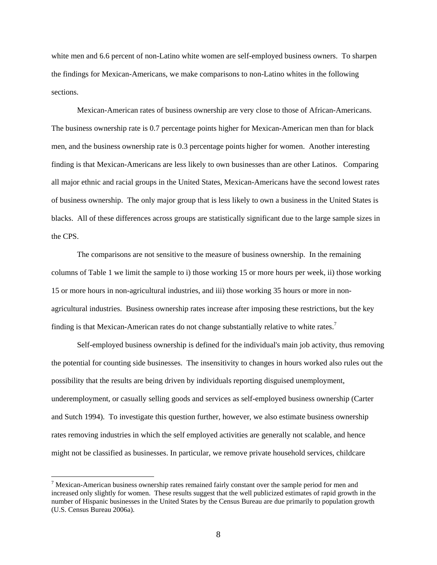white men and 6.6 percent of non-Latino white women are self-employed business owners. To sharpen the findings for Mexican-Americans, we make comparisons to non-Latino whites in the following sections.

Mexican-American rates of business ownership are very close to those of African-Americans. The business ownership rate is 0.7 percentage points higher for Mexican-American men than for black men, and the business ownership rate is 0.3 percentage points higher for women. Another interesting finding is that Mexican-Americans are less likely to own businesses than are other Latinos. Comparing all major ethnic and racial groups in the United States, Mexican-Americans have the second lowest rates of business ownership. The only major group that is less likely to own a business in the United States is blacks. All of these differences across groups are statistically significant due to the large sample sizes in the CPS.

The comparisons are not sensitive to the measure of business ownership. In the remaining columns of Table 1 we limit the sample to i) those working 15 or more hours per week, ii) those working 15 or more hours in non-agricultural industries, and iii) those working 35 hours or more in nonagricultural industries. Business ownership rates increase after imposing these restrictions, but the key finding is that Mexican-American rates do not change substantially relative to white rates.<sup>[7](#page-10-0)</sup>

Self-employed business ownership is defined for the individual's main job activity, thus removing the potential for counting side businesses. The insensitivity to changes in hours worked also rules out the possibility that the results are being driven by individuals reporting disguised unemployment, underemployment, or casually selling goods and services as self-employed business ownership (Carter and Sutch 1994). To investigate this question further, however, we also estimate business ownership rates removing industries in which the self employed activities are generally not scalable, and hence might not be classified as businesses. In particular, we remove private household services, childcare

<span id="page-10-0"></span><sup>&</sup>lt;sup>7</sup> Mexican-American business ownership rates remained fairly constant over the sample period for men and increased only slightly for women. These results suggest that the well publicized estimates of rapid growth in the number of Hispanic businesses in the United States by the Census Bureau are due primarily to population growth (U.S. Census Bureau 2006a).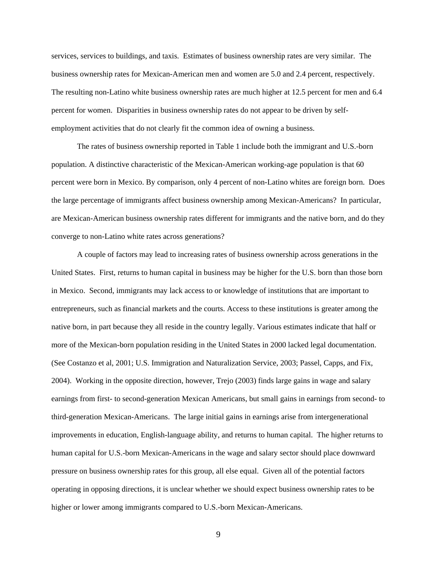services, services to buildings, and taxis. Estimates of business ownership rates are very similar. The business ownership rates for Mexican-American men and women are 5.0 and 2.4 percent, respectively. The resulting non-Latino white business ownership rates are much higher at 12.5 percent for men and 6.4 percent for women. Disparities in business ownership rates do not appear to be driven by selfemployment activities that do not clearly fit the common idea of owning a business.

The rates of business ownership reported in Table 1 include both the immigrant and U.S.-born population. A distinctive characteristic of the Mexican-American working-age population is that 60 percent were born in Mexico. By comparison, only 4 percent of non-Latino whites are foreign born. Does the large percentage of immigrants affect business ownership among Mexican-Americans? In particular, are Mexican-American business ownership rates different for immigrants and the native born, and do they converge to non-Latino white rates across generations?

A couple of factors may lead to increasing rates of business ownership across generations in the United States. First, returns to human capital in business may be higher for the U.S. born than those born in Mexico. Second, immigrants may lack access to or knowledge of institutions that are important to entrepreneurs, such as financial markets and the courts. Access to these institutions is greater among the native born, in part because they all reside in the country legally. Various estimates indicate that half or more of the Mexican-born population residing in the United States in 2000 lacked legal documentation. (See Costanzo et al, 2001; U.S. Immigration and Naturalization Service, 2003; Passel, Capps, and Fix, 2004). Working in the opposite direction, however, Trejo (2003) finds large gains in wage and salary earnings from first- to second-generation Mexican Americans, but small gains in earnings from second- to third-generation Mexican-Americans. The large initial gains in earnings arise from intergenerational improvements in education, English-language ability, and returns to human capital. The higher returns to human capital for U.S.-born Mexican-Americans in the wage and salary sector should place downward pressure on business ownership rates for this group, all else equal. Given all of the potential factors operating in opposing directions, it is unclear whether we should expect business ownership rates to be higher or lower among immigrants compared to U.S.-born Mexican-Americans.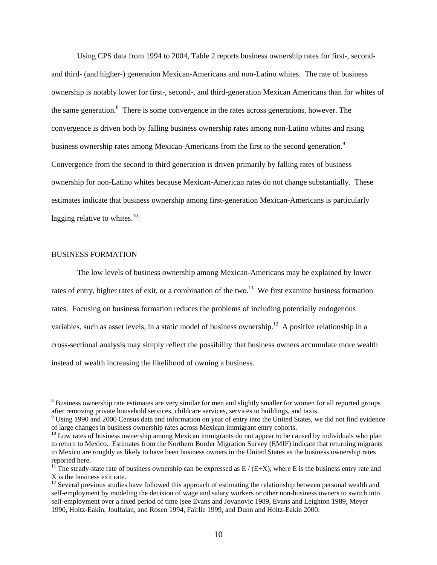Using CPS data from 1994 to 2004, Table 2 reports business ownership rates for first-, secondand third- (and higher-) generation Mexican-Americans and non-Latino whites. The rate of business ownership is notably lower for first-, second-, and third-generation Mexican Americans than for whites of the same generation.<sup>[8](#page-12-0)</sup> There is some convergence in the rates across generations, however. The convergence is driven both by falling business ownership rates among non-Latino whites and rising business ownership rates among Mexican-Americans from the first to the second generation.<sup>[9](#page-12-1)</sup> Convergence from the second to third generation is driven primarily by falling rates of business ownership for non-Latino whites because Mexican-American rates do not change substantially. These estimates indicate that business ownership among first-generation Mexican-Americans is particularly lagging relative to whites. $10$ 

### BUSINESS FORMATION

 $\overline{a}$ 

The low levels of business ownership among Mexican-Americans may be explained by lower rates of entry, higher rates of exit, or a combination of the two.<sup>11</sup> We first examine business formation rates. Focusing on business formation reduces the problems of including potentially endogenous variables, such as asset levels, in a static model of business ownership.<sup>12</sup> A positive relationship in a cross-sectional analysis may simply reflect the possibility that business owners accumulate more wealth instead of wealth increasing the likelihood of owning a business.

<span id="page-12-0"></span><sup>&</sup>lt;sup>8</sup> Business ownership rate estimates are very similar for men and slightly smaller for women for all reported groups after removing private household services, childcare services, services to buildings, and taxis.

<span id="page-12-1"></span><sup>&</sup>lt;sup>9</sup> Using 1990 and 2000 Census data and information on year of entry into the United States, we did not find evidence of large changes in business ownership rates across Mexican immigrant entry cohorts.<br><sup>10</sup> Low rates of business ownership among Mexican immigrants do not appear to be caused by individuals who plan

<span id="page-12-2"></span>to return to Mexico. Estimates from the Northern Border Migration Survey (EMIF) indicate that returning migrants to Mexico are roughly as likely to have been business owners in the United States as the business ownership rates

<span id="page-12-3"></span><sup>&</sup>lt;sup>11</sup> The steady-state rate of business ownership can be expressed as  $E / (E+X)$ , where E is the business entry rate and X is the business exit rate.<br><sup>12</sup> Several previous studies have followed this approach of estimating the relationship between personal wealth and

<span id="page-12-4"></span>self-employment by modeling the decision of wage and salary workers or other non-business owners to switch into self-employment over a fixed period of time (see Evans and Jovanovic 1989, Evans and Leighton 1989, Meyer 1990, Holtz-Eakin, Joulfaian, and Rosen 1994, Fairlie 1999, and Dunn and Holtz-Eakin 2000.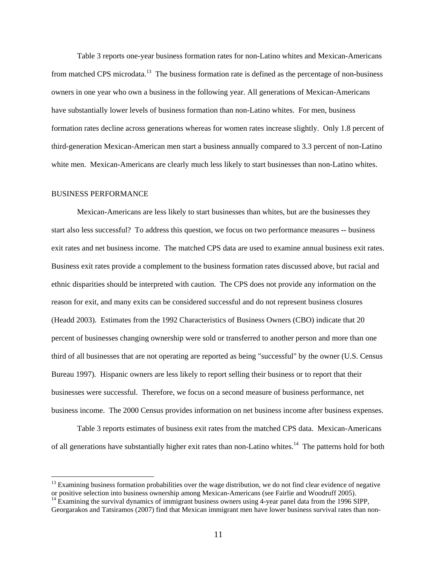Table 3 reports one-year business formation rates for non-Latino whites and Mexican-Americans from matched CPS microdata.<sup>13</sup> The business formation rate is defined as the percentage of non-business owners in one year who own a business in the following year. All generations of Mexican-Americans have substantially lower levels of business formation than non-Latino whites. For men, business formation rates decline across generations whereas for women rates increase slightly. Only 1.8 percent of third-generation Mexican-American men start a business annually compared to 3.3 percent of non-Latino white men. Mexican-Americans are clearly much less likely to start businesses than non-Latino whites.

### BUSINESS PERFORMANCE

 $\overline{a}$ 

Mexican-Americans are less likely to start businesses than whites, but are the businesses they start also less successful? To address this question, we focus on two performance measures -- business exit rates and net business income. The matched CPS data are used to examine annual business exit rates. Business exit rates provide a complement to the business formation rates discussed above, but racial and ethnic disparities should be interpreted with caution. The CPS does not provide any information on the reason for exit, and many exits can be considered successful and do not represent business closures (Headd 2003). Estimates from the 1992 Characteristics of Business Owners (CBO) indicate that 20 percent of businesses changing ownership were sold or transferred to another person and more than one third of all businesses that are not operating are reported as being "successful" by the owner (U.S. Census Bureau 1997). Hispanic owners are less likely to report selling their business or to report that their businesses were successful. Therefore, we focus on a second measure of business performance, net business income. The 2000 Census provides information on net business income after business expenses.

Table 3 reports estimates of business exit rates from the matched CPS data. Mexican-Americans of all generations have substantially higher exit rates than non-Latino whites.<sup>14</sup> The patterns hold for both

<span id="page-13-0"></span> $13$  Examining business formation probabilities over the wage distribution, we do not find clear evidence of negative or positive selection into business ownership among Mexican-Americans (see Fairlie and Woodruff 2005).

<span id="page-13-1"></span> $14$  Examining the survival dynamics of immigrant business owners using 4-year panel data from the 1996 SIPP, Georgarakos and Tatsiramos (2007) find that Mexican immigrant men have lower business survival rates than non-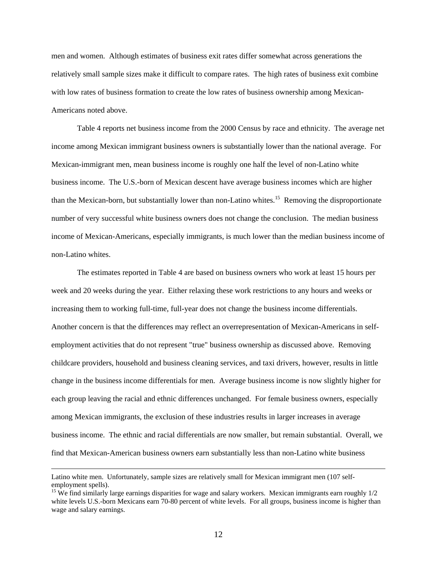men and women. Although estimates of business exit rates differ somewhat across generations the relatively small sample sizes make it difficult to compare rates. The high rates of business exit combine with low rates of business formation to create the low rates of business ownership among Mexican-Americans noted above.

Table 4 reports net business income from the 2000 Census by race and ethnicity. The average net income among Mexican immigrant business owners is substantially lower than the national average. For Mexican-immigrant men, mean business income is roughly one half the level of non-Latino white business income. The U.S.-born of Mexican descent have average business incomes which are higher than the Mexican-born, but substantially lower than non-Latino whites.<sup>15</sup> Removing the disproportionate number of very successful white business owners does not change the conclusion. The median business income of Mexican-Americans, especially immigrants, is much lower than the median business income of non-Latino whites.

The estimates reported in Table 4 are based on business owners who work at least 15 hours per week and 20 weeks during the year. Either relaxing these work restrictions to any hours and weeks or increasing them to working full-time, full-year does not change the business income differentials. Another concern is that the differences may reflect an overrepresentation of Mexican-Americans in selfemployment activities that do not represent "true" business ownership as discussed above. Removing childcare providers, household and business cleaning services, and taxi drivers, however, results in little change in the business income differentials for men. Average business income is now slightly higher for each group leaving the racial and ethnic differences unchanged. For female business owners, especially among Mexican immigrants, the exclusion of these industries results in larger increases in average business income. The ethnic and racial differentials are now smaller, but remain substantial. Overall, we find that Mexican-American business owners earn substantially less than non-Latino white business

Latino white men. Unfortunately, sample sizes are relatively small for Mexican immigrant men (107 selfemployment spells).<br><sup>15</sup> We find similarly large earnings disparities for wage and salary workers. Mexican immigrants earn roughly 1/2

<span id="page-14-0"></span>white levels U.S.-born Mexicans earn 70-80 percent of white levels. For all groups, business income is higher than wage and salary earnings.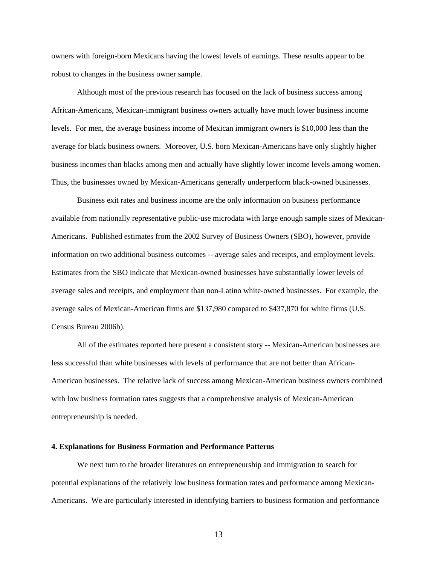owners with foreign-born Mexicans having the lowest levels of earnings. These results appear to be robust to changes in the business owner sample.

Although most of the previous research has focused on the lack of business success among African-Americans, Mexican-immigrant business owners actually have much lower business income levels. For men, the average business income of Mexican immigrant owners is \$10,000 less than the average for black business owners. Moreover, U.S. born Mexican-Americans have only slightly higher business incomes than blacks among men and actually have slightly lower income levels among women. Thus, the businesses owned by Mexican-Americans generally underperform black-owned businesses.

Business exit rates and business income are the only information on business performance available from nationally representative public-use microdata with large enough sample sizes of Mexican-Americans. Published estimates from the 2002 Survey of Business Owners (SBO), however, provide information on two additional business outcomes -- average sales and receipts, and employment levels. Estimates from the SBO indicate that Mexican-owned businesses have substantially lower levels of average sales and receipts, and employment than non-Latino white-owned businesses. For example, the average sales of Mexican-American firms are \$137,980 compared to \$437,870 for white firms (U.S. Census Bureau 2006b).

All of the estimates reported here present a consistent story -- Mexican-American businesses are less successful than white businesses with levels of performance that are not better than African-American businesses. The relative lack of success among Mexican-American business owners combined with low business formation rates suggests that a comprehensive analysis of Mexican-American entrepreneurship is needed.

### **4. Explanations for Business Formation and Performance Patterns**

We next turn to the broader literatures on entrepreneurship and immigration to search for potential explanations of the relatively low business formation rates and performance among Mexican-Americans. We are particularly interested in identifying barriers to business formation and performance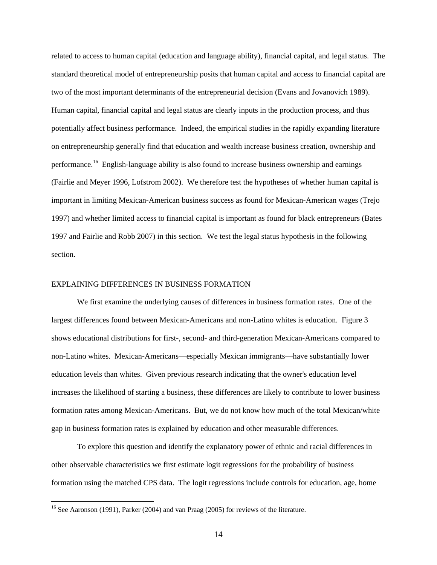related to access to human capital (education and language ability), financial capital, and legal status. The standard theoretical model of entrepreneurship posits that human capital and access to financial capital are two of the most important determinants of the entrepreneurial decision (Evans and Jovanovich 1989). Human capital, financial capital and legal status are clearly inputs in the production process, and thus potentially affect business performance. Indeed, the empirical studies in the rapidly expanding literature on entrepreneurship generally find that education and wealth increase business creation, ownership and performance.[16](#page-16-0) English-language ability is also found to increase business ownership and earnings (Fairlie and Meyer 1996, Lofstrom 2002). We therefore test the hypotheses of whether human capital is important in limiting Mexican-American business success as found for Mexican-American wages (Trejo 1997) and whether limited access to financial capital is important as found for black entrepreneurs (Bates 1997 and Fairlie and Robb 2007) in this section. We test the legal status hypothesis in the following section.

### EXPLAINING DIFFERENCES IN BUSINESS FORMATION

We first examine the underlying causes of differences in business formation rates. One of the largest differences found between Mexican-Americans and non-Latino whites is education. Figure 3 shows educational distributions for first-, second- and third-generation Mexican-Americans compared to non-Latino whites. Mexican-Americans—especially Mexican immigrants—have substantially lower education levels than whites. Given previous research indicating that the owner's education level increases the likelihood of starting a business, these differences are likely to contribute to lower business formation rates among Mexican-Americans. But, we do not know how much of the total Mexican/white gap in business formation rates is explained by education and other measurable differences.

To explore this question and identify the explanatory power of ethnic and racial differences in other observable characteristics we first estimate logit regressions for the probability of business formation using the matched CPS data. The logit regressions include controls for education, age, home

<span id="page-16-0"></span><sup>&</sup>lt;sup>16</sup> See Aaronson (1991), Parker (2004) and van Praag (2005) for reviews of the literature.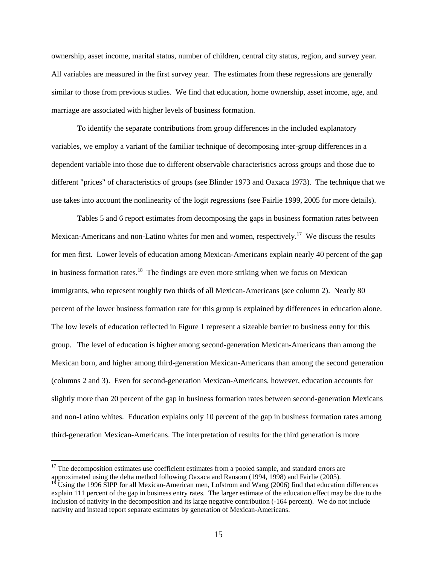ownership, asset income, marital status, number of children, central city status, region, and survey year. All variables are measured in the first survey year. The estimates from these regressions are generally similar to those from previous studies. We find that education, home ownership, asset income, age, and marriage are associated with higher levels of business formation.

To identify the separate contributions from group differences in the included explanatory variables, we employ a variant of the familiar technique of decomposing inter-group differences in a dependent variable into those due to different observable characteristics across groups and those due to different "prices" of characteristics of groups (see Blinder 1973 and Oaxaca 1973). The technique that we use takes into account the nonlinearity of the logit regressions (see Fairlie 1999, 2005 for more details).

Tables 5 and 6 report estimates from decomposing the gaps in business formation rates between Mexican-Americans and non-Latino whites for men and women, respectively.<sup>17</sup> We discuss the results for men first. Lower levels of education among Mexican-Americans explain nearly 40 percent of the gap in business formation rates.<sup>18</sup> The findings are even more striking when we focus on Mexican immigrants, who represent roughly two thirds of all Mexican-Americans (see column 2). Nearly 80 percent of the lower business formation rate for this group is explained by differences in education alone. The low levels of education reflected in Figure 1 represent a sizeable barrier to business entry for this group. The level of education is higher among second-generation Mexican-Americans than among the Mexican born, and higher among third-generation Mexican-Americans than among the second generation (columns 2 and 3). Even for second-generation Mexican-Americans, however, education accounts for slightly more than 20 percent of the gap in business formation rates between second-generation Mexicans and non-Latino whites. Education explains only 10 percent of the gap in business formation rates among third-generation Mexican-Americans. The interpretation of results for the third generation is more

<span id="page-17-0"></span> $17$  The decomposition estimates use coefficient estimates from a pooled sample, and standard errors are

<span id="page-17-1"></span>approximated using the delta method following Oaxaca and Ransom (1994, 1998) and Fairlie (2005).<br><sup>18</sup> Using the 1996 SIPP for all Mexican-American men, Lofstrom and Wang (2006) find that education differences explain 111 percent of the gap in business entry rates. The larger estimate of the education effect may be due to the inclusion of nativity in the decomposition and its large negative contribution (-164 percent). We do not include nativity and instead report separate estimates by generation of Mexican-Americans.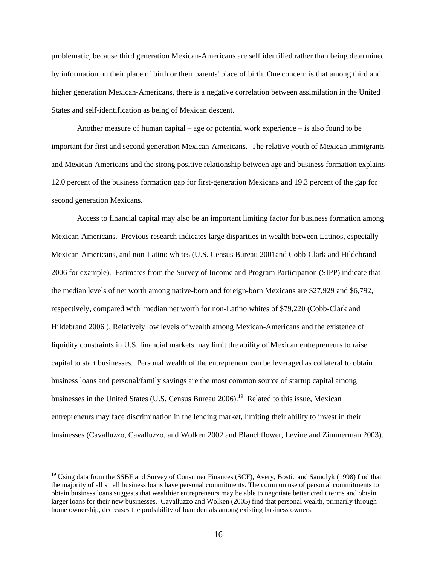problematic, because third generation Mexican-Americans are self identified rather than being determined by information on their place of birth or their parents' place of birth. One concern is that among third and higher generation Mexican-Americans, there is a negative correlation between assimilation in the United States and self-identification as being of Mexican descent.

Another measure of human capital – age or potential work experience – is also found to be important for first and second generation Mexican-Americans. The relative youth of Mexican immigrants and Mexican-Americans and the strong positive relationship between age and business formation explains 12.0 percent of the business formation gap for first-generation Mexicans and 19.3 percent of the gap for second generation Mexicans.

Access to financial capital may also be an important limiting factor for business formation among Mexican-Americans. Previous research indicates large disparities in wealth between Latinos, especially Mexican-Americans, and non-Latino whites (U.S. Census Bureau 2001and Cobb-Clark and Hildebrand 2006 for example). Estimates from the Survey of Income and Program Participation (SIPP) indicate that the median levels of net worth among native-born and foreign-born Mexicans are \$27,929 and \$6,792, respectively, compared with median net worth for non-Latino whites of \$79,220 (Cobb-Clark and Hildebrand 2006 ). Relatively low levels of wealth among Mexican-Americans and the existence of liquidity constraints in U.S. financial markets may limit the ability of Mexican entrepreneurs to raise capital to start businesses. Personal wealth of the entrepreneur can be leveraged as collateral to obtain business loans and personal/family savings are the most common source of startup capital among businesses in the United States (U.S. Census Bureau 2006).<sup>19</sup> Related to this issue, Mexican entrepreneurs may face discrimination in the lending market, limiting their ability to invest in their businesses (Cavalluzzo, Cavalluzzo, and Wolken 2002 and Blanchflower, Levine and Zimmerman 2003).

<span id="page-18-0"></span><sup>&</sup>lt;sup>19</sup> Using data from the SSBF and Survey of Consumer Finances (SCF), Avery, Bostic and Samolyk (1998) find that the majority of all small business loans have personal commitments. The common use of personal commitments to obtain business loans suggests that wealthier entrepreneurs may be able to negotiate better credit terms and obtain larger loans for their new businesses. Cavalluzzo and Wolken (2005) find that personal wealth, primarily through home ownership, decreases the probability of loan denials among existing business owners.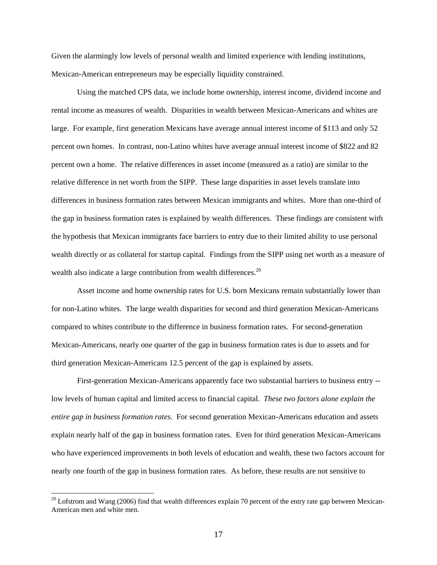Given the alarmingly low levels of personal wealth and limited experience with lending institutions, Mexican-American entrepreneurs may be especially liquidity constrained.

Using the matched CPS data, we include home ownership, interest income, dividend income and rental income as measures of wealth. Disparities in wealth between Mexican-Americans and whites are large. For example, first generation Mexicans have average annual interest income of \$113 and only 52 percent own homes. In contrast, non-Latino whites have average annual interest income of \$822 and 82 percent own a home. The relative differences in asset income (measured as a ratio) are similar to the relative difference in net worth from the SIPP. These large disparities in asset levels translate into differences in business formation rates between Mexican immigrants and whites. More than one-third of the gap in business formation rates is explained by wealth differences. These findings are consistent with the hypothesis that Mexican immigrants face barriers to entry due to their limited ability to use personal wealth directly or as collateral for startup capital. Findings from the SIPP using net worth as a measure of wealth also indicate a large contribution from wealth differences.<sup>[20](#page-19-0)</sup>

Asset income and home ownership rates for U.S. born Mexicans remain substantially lower than for non-Latino whites. The large wealth disparities for second and third generation Mexican-Americans compared to whites contribute to the difference in business formation rates. For second-generation Mexican-Americans, nearly one quarter of the gap in business formation rates is due to assets and for third generation Mexican-Americans 12.5 percent of the gap is explained by assets.

First-generation Mexican-Americans apparently face two substantial barriers to business entry - low levels of human capital and limited access to financial capital. *These two factors alone explain the entire gap in business formation rates.* For second generation Mexican-Americans education and assets explain nearly half of the gap in business formation rates. Even for third generation Mexican-Americans who have experienced improvements in both levels of education and wealth, these two factors account for nearly one fourth of the gap in business formation rates. As before, these results are not sensitive to

<span id="page-19-0"></span> $20$  Lofstrom and Wang (2006) find that wealth differences explain 70 percent of the entry rate gap between Mexican-American men and white men.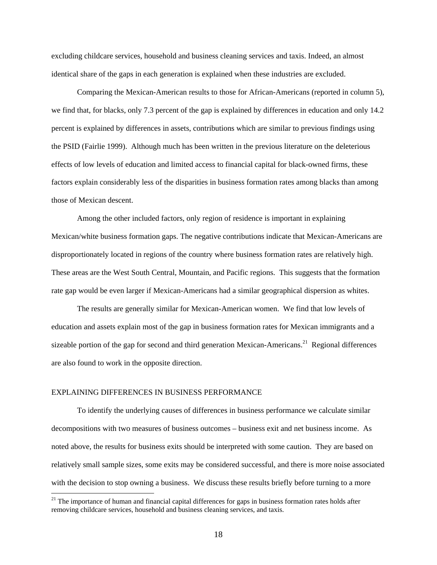excluding childcare services, household and business cleaning services and taxis. Indeed, an almost identical share of the gaps in each generation is explained when these industries are excluded.

Comparing the Mexican-American results to those for African-Americans (reported in column 5), we find that, for blacks, only 7.3 percent of the gap is explained by differences in education and only 14.2 percent is explained by differences in assets, contributions which are similar to previous findings using the PSID (Fairlie 1999). Although much has been written in the previous literature on the deleterious effects of low levels of education and limited access to financial capital for black-owned firms, these factors explain considerably less of the disparities in business formation rates among blacks than among those of Mexican descent.

Among the other included factors, only region of residence is important in explaining Mexican/white business formation gaps. The negative contributions indicate that Mexican-Americans are disproportionately located in regions of the country where business formation rates are relatively high. These areas are the West South Central, Mountain, and Pacific regions. This suggests that the formation rate gap would be even larger if Mexican-Americans had a similar geographical dispersion as whites.

The results are generally similar for Mexican-American women. We find that low levels of education and assets explain most of the gap in business formation rates for Mexican immigrants and a sizeable portion of the gap for second and third generation Mexican-Americans.<sup>21</sup> Regional differences are also found to work in the opposite direction.

### EXPLAINING DIFFERENCES IN BUSINESS PERFORMANCE

 $\overline{a}$ 

To identify the underlying causes of differences in business performance we calculate similar decompositions with two measures of business outcomes – business exit and net business income. As noted above, the results for business exits should be interpreted with some caution. They are based on relatively small sample sizes, some exits may be considered successful, and there is more noise associated with the decision to stop owning a business. We discuss these results briefly before turning to a more

<span id="page-20-0"></span><sup>&</sup>lt;sup>21</sup> The importance of human and financial capital differences for gaps in business formation rates holds after removing childcare services, household and business cleaning services, and taxis.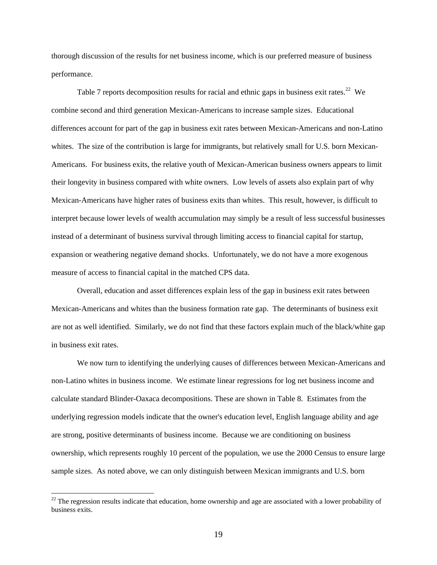thorough discussion of the results for net business income, which is our preferred measure of business performance.

Table 7 reports decomposition results for racial and ethnic gaps in business exit rates.<sup>22</sup> We combine second and third generation Mexican-Americans to increase sample sizes. Educational differences account for part of the gap in business exit rates between Mexican-Americans and non-Latino whites. The size of the contribution is large for immigrants, but relatively small for U.S. born Mexican-Americans. For business exits, the relative youth of Mexican-American business owners appears to limit their longevity in business compared with white owners. Low levels of assets also explain part of why Mexican-Americans have higher rates of business exits than whites. This result, however, is difficult to interpret because lower levels of wealth accumulation may simply be a result of less successful businesses instead of a determinant of business survival through limiting access to financial capital for startup, expansion or weathering negative demand shocks. Unfortunately, we do not have a more exogenous measure of access to financial capital in the matched CPS data.

Overall, education and asset differences explain less of the gap in business exit rates between Mexican-Americans and whites than the business formation rate gap. The determinants of business exit are not as well identified. Similarly, we do not find that these factors explain much of the black/white gap in business exit rates.

We now turn to identifying the underlying causes of differences between Mexican-Americans and non-Latino whites in business income. We estimate linear regressions for log net business income and calculate standard Blinder-Oaxaca decompositions. These are shown in Table 8. Estimates from the underlying regression models indicate that the owner's education level, English language ability and age are strong, positive determinants of business income. Because we are conditioning on business ownership, which represents roughly 10 percent of the population, we use the 2000 Census to ensure large sample sizes. As noted above, we can only distinguish between Mexican immigrants and U.S. born

<span id="page-21-0"></span> $22$  The regression results indicate that education, home ownership and age are associated with a lower probability of business exits.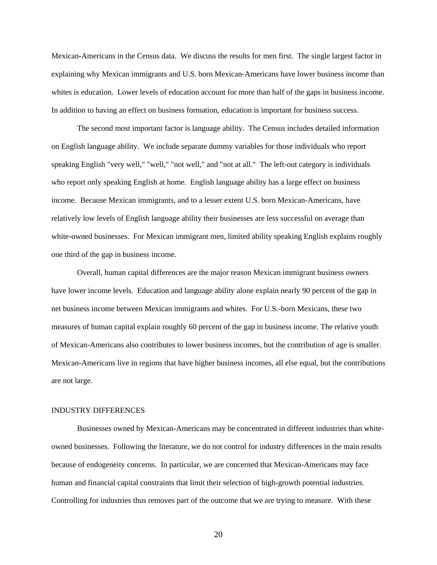Mexican-Americans in the Census data. We discuss the results for men first. The single largest factor in explaining why Mexican immigrants and U.S. born Mexican-Americans have lower business income than whites is education. Lower levels of education account for more than half of the gaps in business income. In addition to having an effect on business formation, education is important for business success.

The second most important factor is language ability. The Census includes detailed information on English language ability. We include separate dummy variables for those individuals who report speaking English "very well," "well," "not well," and "not at all." The left-out category is individuals who report only speaking English at home. English language ability has a large effect on business income. Because Mexican immigrants, and to a lesser extent U.S. born Mexican-Americans, have relatively low levels of English language ability their businesses are less successful on average than white-owned businesses. For Mexican immigrant men, limited ability speaking English explains roughly one third of the gap in business income.

Overall, human capital differences are the major reason Mexican immigrant business owners have lower income levels. Education and language ability alone explain nearly 90 percent of the gap in net business income between Mexican immigrants and whites. For U.S.-born Mexicans, these two measures of human capital explain roughly 60 percent of the gap in business income. The relative youth of Mexican-Americans also contributes to lower business incomes, but the contribution of age is smaller. Mexican-Americans live in regions that have higher business incomes, all else equal, but the contributions are not large.

### INDUSTRY DIFFERENCES

Businesses owned by Mexican-Americans may be concentrated in different industries than whiteowned businesses. Following the literature, we do not control for industry differences in the main results because of endogeneity concerns. In particular, we are concerned that Mexican-Americans may face human and financial capital constraints that limit their selection of high-growth potential industries. Controlling for industries thus removes part of the outcome that we are trying to measure. With these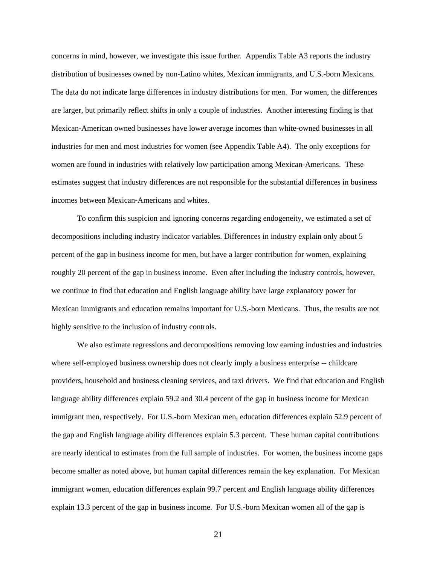concerns in mind, however, we investigate this issue further. Appendix Table A3 reports the industry distribution of businesses owned by non-Latino whites, Mexican immigrants, and U.S.-born Mexicans. The data do not indicate large differences in industry distributions for men. For women, the differences are larger, but primarily reflect shifts in only a couple of industries. Another interesting finding is that Mexican-American owned businesses have lower average incomes than white-owned businesses in all industries for men and most industries for women (see Appendix Table A4). The only exceptions for women are found in industries with relatively low participation among Mexican-Americans. These estimates suggest that industry differences are not responsible for the substantial differences in business incomes between Mexican-Americans and whites.

To confirm this suspicion and ignoring concerns regarding endogeneity, we estimated a set of decompositions including industry indicator variables. Differences in industry explain only about 5 percent of the gap in business income for men, but have a larger contribution for women, explaining roughly 20 percent of the gap in business income. Even after including the industry controls, however, we continue to find that education and English language ability have large explanatory power for Mexican immigrants and education remains important for U.S.-born Mexicans. Thus, the results are not highly sensitive to the inclusion of industry controls.

We also estimate regressions and decompositions removing low earning industries and industries where self-employed business ownership does not clearly imply a business enterprise -- childcare providers, household and business cleaning services, and taxi drivers. We find that education and English language ability differences explain 59.2 and 30.4 percent of the gap in business income for Mexican immigrant men, respectively. For U.S.-born Mexican men, education differences explain 52.9 percent of the gap and English language ability differences explain 5.3 percent. These human capital contributions are nearly identical to estimates from the full sample of industries. For women, the business income gaps become smaller as noted above, but human capital differences remain the key explanation. For Mexican immigrant women, education differences explain 99.7 percent and English language ability differences explain 13.3 percent of the gap in business income. For U.S.-born Mexican women all of the gap is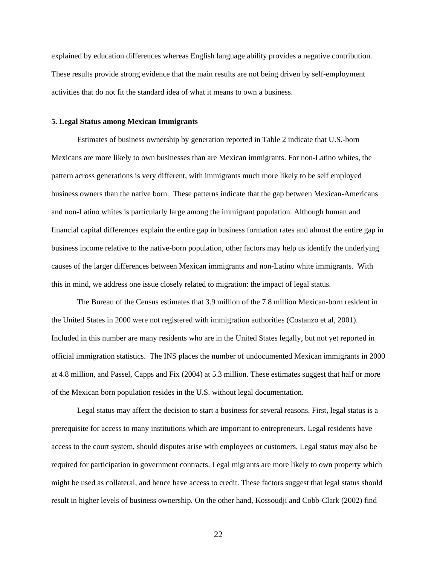explained by education differences whereas English language ability provides a negative contribution. These results provide strong evidence that the main results are not being driven by self-employment activities that do not fit the standard idea of what it means to own a business.

### **5. Legal Status among Mexican Immigrants**

Estimates of business ownership by generation reported in Table 2 indicate that U.S.-born Mexicans are more likely to own businesses than are Mexican immigrants. For non-Latino whites, the pattern across generations is very different, with immigrants much more likely to be self employed business owners than the native born. These patterns indicate that the gap between Mexican-Americans and non-Latino whites is particularly large among the immigrant population. Although human and financial capital differences explain the entire gap in business formation rates and almost the entire gap in business income relative to the native-born population, other factors may help us identify the underlying causes of the larger differences between Mexican immigrants and non-Latino white immigrants. With this in mind, we address one issue closely related to migration: the impact of legal status.

The Bureau of the Census estimates that 3.9 million of the 7.8 million Mexican-born resident in the United States in 2000 were not registered with immigration authorities (Costanzo et al, 2001). Included in this number are many residents who are in the United States legally, but not yet reported in official immigration statistics. The INS places the number of undocumented Mexican immigrants in 2000 at 4.8 million, and Passel, Capps and Fix (2004) at 5.3 million. These estimates suggest that half or more of the Mexican born population resides in the U.S. without legal documentation.

Legal status may affect the decision to start a business for several reasons. First, legal status is a prerequisite for access to many institutions which are important to entrepreneurs. Legal residents have access to the court system, should disputes arise with employees or customers. Legal status may also be required for participation in government contracts. Legal migrants are more likely to own property which might be used as collateral, and hence have access to credit. These factors suggest that legal status should result in higher levels of business ownership. On the other hand, Kossoudji and Cobb-Clark (2002) find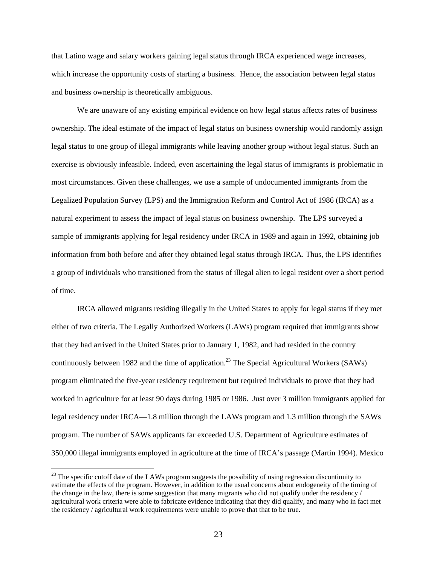that Latino wage and salary workers gaining legal status through IRCA experienced wage increases, which increase the opportunity costs of starting a business. Hence, the association between legal status and business ownership is theoretically ambiguous.

We are unaware of any existing empirical evidence on how legal status affects rates of business ownership. The ideal estimate of the impact of legal status on business ownership would randomly assign legal status to one group of illegal immigrants while leaving another group without legal status. Such an exercise is obviously infeasible. Indeed, even ascertaining the legal status of immigrants is problematic in most circumstances. Given these challenges, we use a sample of undocumented immigrants from the Legalized Population Survey (LPS) and the Immigration Reform and Control Act of 1986 (IRCA) as a natural experiment to assess the impact of legal status on business ownership. The LPS surveyed a sample of immigrants applying for legal residency under IRCA in 1989 and again in 1992, obtaining job information from both before and after they obtained legal status through IRCA. Thus, the LPS identifies a group of individuals who transitioned from the status of illegal alien to legal resident over a short period of time.

IRCA allowed migrants residing illegally in the United States to apply for legal status if they met either of two criteria. The Legally Authorized Workers (LAWs) program required that immigrants show that they had arrived in the United States prior to January 1, 1982, and had resided in the country continuously between 1982 and the time of application.<sup>23</sup> The Special Agricultural Workers (SAWs) program eliminated the five-year residency requirement but required individuals to prove that they had worked in agriculture for at least 90 days during 1985 or 1986. Just over 3 million immigrants applied for legal residency under IRCA—1.8 million through the LAWs program and 1.3 million through the SAWs program. The number of SAWs applicants far exceeded U.S. Department of Agriculture estimates of 350,000 illegal immigrants employed in agriculture at the time of IRCA's passage (Martin 1994). Mexico

<span id="page-25-0"></span> $23$  The specific cutoff date of the LAWs program suggests the possibility of using regression discontinuity to estimate the effects of the program. However, in addition to the usual concerns about endogeneity of the timing of the change in the law, there is some suggestion that many migrants who did not qualify under the residency / agricultural work criteria were able to fabricate evidence indicating that they did qualify, and many who in fact met the residency / agricultural work requirements were unable to prove that that to be true.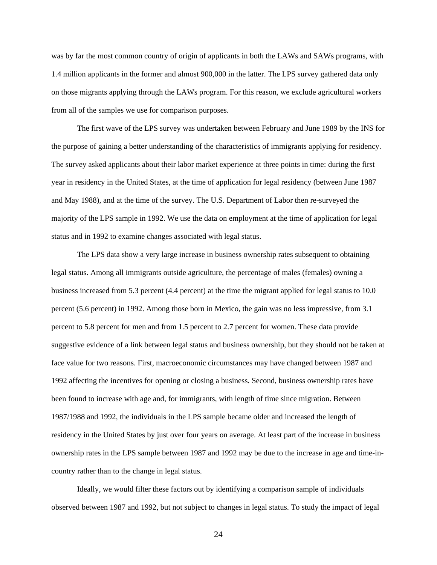was by far the most common country of origin of applicants in both the LAWs and SAWs programs, with 1.4 million applicants in the former and almost 900,000 in the latter. The LPS survey gathered data only on those migrants applying through the LAWs program. For this reason, we exclude agricultural workers from all of the samples we use for comparison purposes.

The first wave of the LPS survey was undertaken between February and June 1989 by the INS for the purpose of gaining a better understanding of the characteristics of immigrants applying for residency. The survey asked applicants about their labor market experience at three points in time: during the first year in residency in the United States, at the time of application for legal residency (between June 1987 and May 1988), and at the time of the survey. The U.S. Department of Labor then re-surveyed the majority of the LPS sample in 1992. We use the data on employment at the time of application for legal status and in 1992 to examine changes associated with legal status.

The LPS data show a very large increase in business ownership rates subsequent to obtaining legal status. Among all immigrants outside agriculture, the percentage of males (females) owning a business increased from 5.3 percent (4.4 percent) at the time the migrant applied for legal status to 10.0 percent (5.6 percent) in 1992. Among those born in Mexico, the gain was no less impressive, from 3.1 percent to 5.8 percent for men and from 1.5 percent to 2.7 percent for women. These data provide suggestive evidence of a link between legal status and business ownership, but they should not be taken at face value for two reasons. First, macroeconomic circumstances may have changed between 1987 and 1992 affecting the incentives for opening or closing a business. Second, business ownership rates have been found to increase with age and, for immigrants, with length of time since migration. Between 1987/1988 and 1992, the individuals in the LPS sample became older and increased the length of residency in the United States by just over four years on average. At least part of the increase in business ownership rates in the LPS sample between 1987 and 1992 may be due to the increase in age and time-incountry rather than to the change in legal status.

Ideally, we would filter these factors out by identifying a comparison sample of individuals observed between 1987 and 1992, but not subject to changes in legal status. To study the impact of legal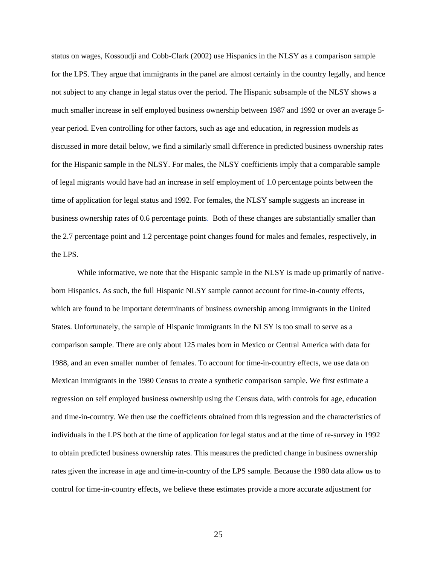status on wages, Kossoudji and Cobb-Clark (2002) use Hispanics in the NLSY as a comparison sample for the LPS. They argue that immigrants in the panel are almost certainly in the country legally, and hence not subject to any change in legal status over the period. The Hispanic subsample of the NLSY shows a much smaller increase in self employed business ownership between 1987 and 1992 or over an average 5 year period. Even controlling for other factors, such as age and education, in regression models as discussed in more detail below, we find a similarly small difference in predicted business ownership rates for the Hispanic sample in the NLSY. For males, the NLSY coefficients imply that a comparable sample of legal migrants would have had an increase in self employment of 1.0 percentage points between the time of application for legal status and 1992. For females, the NLSY sample suggests an increase in business ownership rates of 0.6 percentage points. Both of these changes are substantially smaller than the 2.7 percentage point and 1.2 percentage point changes found for males and females, respectively, in the LPS.

While informative, we note that the Hispanic sample in the NLSY is made up primarily of nativeborn Hispanics. As such, the full Hispanic NLSY sample cannot account for time-in-county effects, which are found to be important determinants of business ownership among immigrants in the United States. Unfortunately, the sample of Hispanic immigrants in the NLSY is too small to serve as a comparison sample. There are only about 125 males born in Mexico or Central America with data for 1988, and an even smaller number of females. To account for time-in-country effects, we use data on Mexican immigrants in the 1980 Census to create a synthetic comparison sample. We first estimate a regression on self employed business ownership using the Census data, with controls for age, education and time-in-country. We then use the coefficients obtained from this regression and the characteristics of individuals in the LPS both at the time of application for legal status and at the time of re-survey in 1992 to obtain predicted business ownership rates. This measures the predicted change in business ownership rates given the increase in age and time-in-country of the LPS sample. Because the 1980 data allow us to control for time-in-country effects, we believe these estimates provide a more accurate adjustment for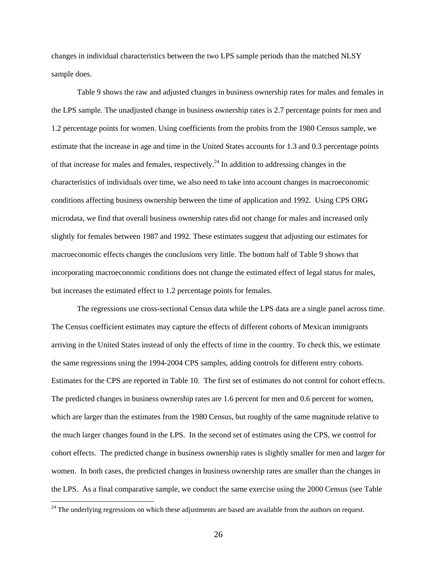changes in individual characteristics between the two LPS sample periods than the matched NLSY sample does.

Table 9 shows the raw and adjusted changes in business ownership rates for males and females in the LPS sample. The unadjusted change in business ownership rates is 2.7 percentage points for men and 1.2 percentage points for women. Using coefficients from the probits from the 1980 Census sample, we estimate that the increase in age and time in the United States accounts for 1.3 and 0.3 percentage points of that increase for males and females, respectively.<sup>24</sup> In addition to addressing changes in the characteristics of individuals over time, we also need to take into account changes in macroeconomic conditions affecting business ownership between the time of application and 1992. Using CPS ORG microdata, we find that overall business ownership rates did not change for males and increased only slightly for females between 1987 and 1992. These estimates suggest that adjusting our estimates for macroeconomic effects changes the conclusions very little. The bottom half of Table 9 shows that incorporating macroeconomic conditions does not change the estimated effect of legal status for males, but increases the estimated effect to 1.2 percentage points for females.

The regressions use cross-sectional Census data while the LPS data are a single panel across time. The Census coefficient estimates may capture the effects of different cohorts of Mexican immigrants arriving in the United States instead of only the effects of time in the country. To check this, we estimate the same regressions using the 1994-2004 CPS samples, adding controls for different entry cohorts. Estimates for the CPS are reported in Table 10. The first set of estimates do not control for cohort effects. The predicted changes in business ownership rates are 1.6 percent for men and 0.6 percent for women, which are larger than the estimates from the 1980 Census, but roughly of the same magnitude relative to the much larger changes found in the LPS. In the second set of estimates using the CPS, we control for cohort effects. The predicted change in business ownership rates is slightly smaller for men and larger for women. In both cases, the predicted changes in business ownership rates are smaller than the changes in the LPS. As a final comparative sample, we conduct the same exercise using the 2000 Census (see Table

<span id="page-28-0"></span> $24$  The underlying regressions on which these adjustments are based are available from the authors on request.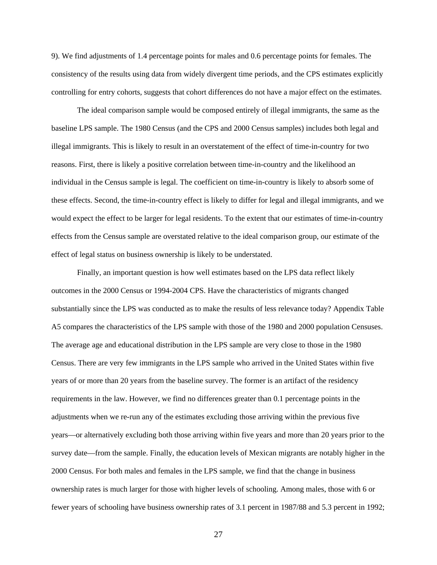9). We find adjustments of 1.4 percentage points for males and 0.6 percentage points for females. The consistency of the results using data from widely divergent time periods, and the CPS estimates explicitly controlling for entry cohorts, suggests that cohort differences do not have a major effect on the estimates.

The ideal comparison sample would be composed entirely of illegal immigrants, the same as the baseline LPS sample. The 1980 Census (and the CPS and 2000 Census samples) includes both legal and illegal immigrants. This is likely to result in an overstatement of the effect of time-in-country for two reasons. First, there is likely a positive correlation between time-in-country and the likelihood an individual in the Census sample is legal. The coefficient on time-in-country is likely to absorb some of these effects. Second, the time-in-country effect is likely to differ for legal and illegal immigrants, and we would expect the effect to be larger for legal residents. To the extent that our estimates of time-in-country effects from the Census sample are overstated relative to the ideal comparison group, our estimate of the effect of legal status on business ownership is likely to be understated.

Finally, an important question is how well estimates based on the LPS data reflect likely outcomes in the 2000 Census or 1994-2004 CPS. Have the characteristics of migrants changed substantially since the LPS was conducted as to make the results of less relevance today? Appendix Table A5 compares the characteristics of the LPS sample with those of the 1980 and 2000 population Censuses. The average age and educational distribution in the LPS sample are very close to those in the 1980 Census. There are very few immigrants in the LPS sample who arrived in the United States within five years of or more than 20 years from the baseline survey. The former is an artifact of the residency requirements in the law. However, we find no differences greater than 0.1 percentage points in the adjustments when we re-run any of the estimates excluding those arriving within the previous five years—or alternatively excluding both those arriving within five years and more than 20 years prior to the survey date—from the sample. Finally, the education levels of Mexican migrants are notably higher in the 2000 Census. For both males and females in the LPS sample, we find that the change in business ownership rates is much larger for those with higher levels of schooling. Among males, those with 6 or fewer years of schooling have business ownership rates of 3.1 percent in 1987/88 and 5.3 percent in 1992;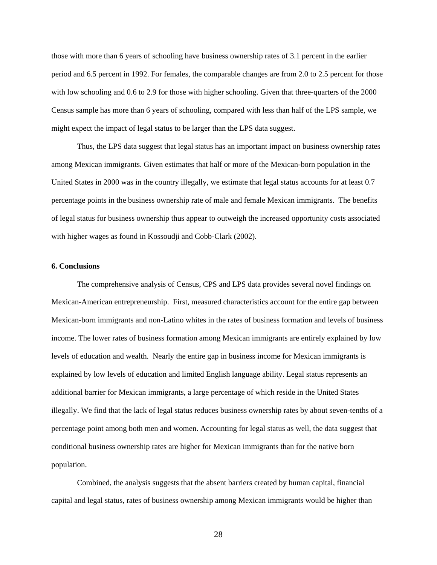those with more than 6 years of schooling have business ownership rates of 3.1 percent in the earlier period and 6.5 percent in 1992. For females, the comparable changes are from 2.0 to 2.5 percent for those with low schooling and 0.6 to 2.9 for those with higher schooling. Given that three-quarters of the 2000 Census sample has more than 6 years of schooling, compared with less than half of the LPS sample, we might expect the impact of legal status to be larger than the LPS data suggest.

Thus, the LPS data suggest that legal status has an important impact on business ownership rates among Mexican immigrants. Given estimates that half or more of the Mexican-born population in the United States in 2000 was in the country illegally, we estimate that legal status accounts for at least 0.7 percentage points in the business ownership rate of male and female Mexican immigrants. The benefits of legal status for business ownership thus appear to outweigh the increased opportunity costs associated with higher wages as found in Kossoudji and Cobb-Clark (2002).

### **6. Conclusions**

The comprehensive analysis of Census, CPS and LPS data provides several novel findings on Mexican-American entrepreneurship. First, measured characteristics account for the entire gap between Mexican-born immigrants and non-Latino whites in the rates of business formation and levels of business income. The lower rates of business formation among Mexican immigrants are entirely explained by low levels of education and wealth. Nearly the entire gap in business income for Mexican immigrants is explained by low levels of education and limited English language ability. Legal status represents an additional barrier for Mexican immigrants, a large percentage of which reside in the United States illegally. We find that the lack of legal status reduces business ownership rates by about seven-tenths of a percentage point among both men and women. Accounting for legal status as well, the data suggest that conditional business ownership rates are higher for Mexican immigrants than for the native born population.

Combined, the analysis suggests that the absent barriers created by human capital, financial capital and legal status, rates of business ownership among Mexican immigrants would be higher than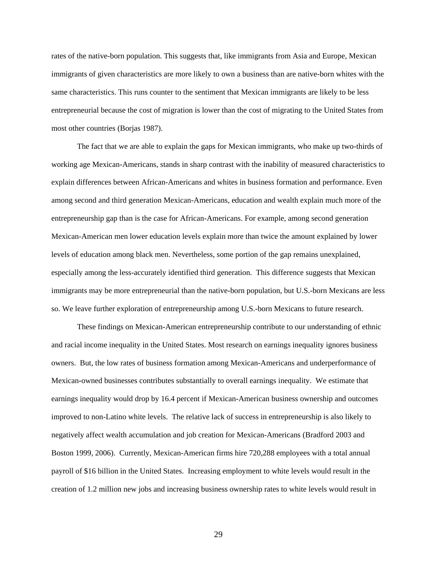rates of the native-born population. This suggests that, like immigrants from Asia and Europe, Mexican immigrants of given characteristics are more likely to own a business than are native-born whites with the same characteristics. This runs counter to the sentiment that Mexican immigrants are likely to be less entrepreneurial because the cost of migration is lower than the cost of migrating to the United States from most other countries (Borjas 1987).

The fact that we are able to explain the gaps for Mexican immigrants, who make up two-thirds of working age Mexican-Americans, stands in sharp contrast with the inability of measured characteristics to explain differences between African-Americans and whites in business formation and performance. Even among second and third generation Mexican-Americans, education and wealth explain much more of the entrepreneurship gap than is the case for African-Americans. For example, among second generation Mexican-American men lower education levels explain more than twice the amount explained by lower levels of education among black men. Nevertheless, some portion of the gap remains unexplained, especially among the less-accurately identified third generation. This difference suggests that Mexican immigrants may be more entrepreneurial than the native-born population, but U.S.-born Mexicans are less so. We leave further exploration of entrepreneurship among U.S.-born Mexicans to future research.

These findings on Mexican-American entrepreneurship contribute to our understanding of ethnic and racial income inequality in the United States. Most research on earnings inequality ignores business owners. But, the low rates of business formation among Mexican-Americans and underperformance of Mexican-owned businesses contributes substantially to overall earnings inequality. We estimate that earnings inequality would drop by 16.4 percent if Mexican-American business ownership and outcomes improved to non-Latino white levels. The relative lack of success in entrepreneurship is also likely to negatively affect wealth accumulation and job creation for Mexican-Americans (Bradford 2003 and Boston 1999, 2006). Currently, Mexican-American firms hire 720,288 employees with a total annual payroll of \$16 billion in the United States. Increasing employment to white levels would result in the creation of 1.2 million new jobs and increasing business ownership rates to white levels would result in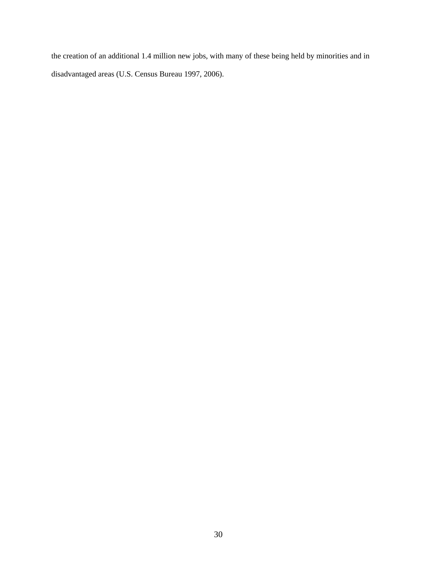the creation of an additional 1.4 million new jobs, with many of these being held by minorities and in disadvantaged areas (U.S. Census Bureau 1997, 2006).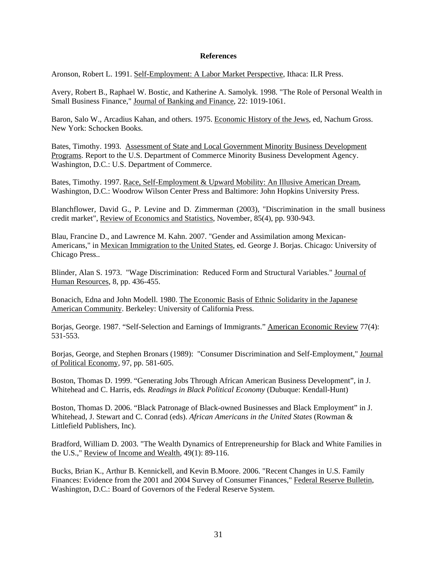### **References**

Aronson, Robert L. 1991. Self-Employment: A Labor Market Perspective, Ithaca: ILR Press.

Avery, Robert B., Raphael W. Bostic, and Katherine A. Samolyk. 1998. "The Role of Personal Wealth in Small Business Finance," Journal of Banking and Finance, 22: 1019-1061.

Baron, Salo W., Arcadius Kahan, and others. 1975. Economic History of the Jews, ed, Nachum Gross. New York: Schocken Books.

Bates, Timothy. 1993. Assessment of State and Local Government Minority Business Development Programs. Report to the U.S. Department of Commerce Minority Business Development Agency. Washington, D.C.: U.S. Department of Commerce.

Bates, Timothy. 1997. Race, Self-Employment & Upward Mobility: An Illusive American Dream, Washington, D.C.: Woodrow Wilson Center Press and Baltimore: John Hopkins University Press.

Blanchflower, David G., P. Levine and D. Zimmerman (2003), "Discrimination in the small business credit market", Review of Economics and Statistics, November, 85(4), pp. 930-943.

Blau, Francine D., and Lawrence M. Kahn. 2007. "Gender and Assimilation among Mexican-Americans," in Mexican Immigration to the United States, ed. George J. Borjas. Chicago: University of Chicago Press..

Blinder, Alan S. 1973. "Wage Discrimination: Reduced Form and Structural Variables." Journal of Human Resources, 8, pp. 436-455.

Bonacich, Edna and John Modell. 1980. The Economic Basis of Ethnic Solidarity in the Japanese American Community. Berkeley: University of California Press.

Borjas, George. 1987. "Self-Selection and Earnings of Immigrants." American Economic Review 77(4): 531-553.

Borjas, George, and Stephen Bronars (1989): "Consumer Discrimination and Self-Employment," Journal of Political Economy, 97, pp. 581-605.

Boston, Thomas D. 1999. "Generating Jobs Through African American Business Development", in J. Whitehead and C. Harris, eds*. Readings in Black Political Economy* (Dubuque: Kendall-Hunt)

Boston, Thomas D. 2006. "Black Patronage of Black-owned Businesses and Black Employment" in J. Whitehead, J. Stewart and C. Conrad (eds). *African Americans in the United States* (Rowman & Littlefield Publishers, Inc).

Bradford, William D. 2003. "The Wealth Dynamics of Entrepreneurship for Black and White Families in the U.S.," Review of Income and Wealth, 49(1): 89-116.

Bucks, Brian K., Arthur B. Kennickell, and Kevin B.Moore. 2006. "Recent Changes in U.S. Family Finances: Evidence from the 2001 and 2004 Survey of Consumer Finances," Federal Reserve Bulletin, Washington, D.C.: Board of Governors of the Federal Reserve System.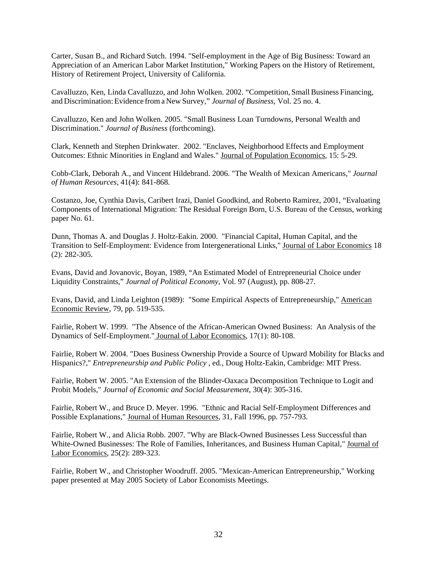Carter, Susan B., and Richard Sutch. 1994. "Self-employment in the Age of Big Business: Toward an Appreciation of an American Labor Market Institution," Working Papers on the History of Retirement, History of Retirement Project, University of California.

Cavalluzzo, Ken, Linda Cavalluzzo, and John Wolken. 2002. "Competition, Small Business Financing, and Discrimination:Evidence froma New Survey," *Journal of Business*, Vol. 25 no. 4.

Cavalluzzo, Ken and John Wolken. 2005. "Small Business Loan Turndowns, Personal Wealth and Discrimination." *Journal of Business* (forthcoming).

Clark, Kenneth and Stephen Drinkwater. 2002. "Enclaves, Neighborhood Effects and Employment Outcomes: Ethnic Minorities in England and Wales." Journal of Population Economics, 15: 5-29.

Cobb-Clark, Deborah A., and Vincent Hildebrand. 2006. "The Wealth of Mexican Americans," *Journal of Human Resources*, 41(4): 841-868.

Costanzo, Joe, Cynthia Davis, Caribert Irazi, Daniel Goodkind, and Roberto Ramirez, 2001, "Evaluating Components of International Migration: The Residual Foreign Born, U.S. Bureau of the Census, working paper No. 61.

Dunn, Thomas A. and Douglas J. Holtz-Eakin. 2000. "Financial Capital, Human Capital, and the Transition to Self-Employment: Evidence from Intergenerational Links," Journal of Labor Economics 18 (2): 282-305.

Evans, David and Jovanovic, Boyan, 1989, "An Estimated Model of Entrepreneurial Choice under Liquidity Constraints," *Journal of Political Economy*, Vol. 97 (August), pp. 808-27.

Evans, David, and Linda Leighton (1989): "Some Empirical Aspects of Entrepreneurship," American Economic Review, 79, pp. 519-535.

Fairlie, Robert W. 1999. "The Absence of the African-American Owned Business: An Analysis of the Dynamics of Self-Employment." Journal of Labor Economics, 17(1): 80-108.

Fairlie, Robert W. 2004. "Does Business Ownership Provide a Source of Upward Mobility for Blacks and Hispanics?," *Entrepreneurship and Public Policy* , ed., Doug Holtz-Eakin, Cambridge: MIT Press.

Fairlie, Robert W. 2005. "An Extension of the Blinder-Oaxaca Decomposition Technique to Logit and Probit Models," *Journal of Economic and Social Measurement*, 30(4): 305-316.

Fairlie, Robert W., and Bruce D. Meyer. 1996. "Ethnic and Racial Self-Employment Differences and Possible Explanations," Journal of Human Resources, 31, Fall 1996, pp. 757-793.

Fairlie, Robert W., and Alicia Robb. 2007. "Why are Black-Owned Businesses Less Successful than White-Owned Businesses: The Role of Families, Inheritances, and Business Human Capital," Journal of Labor Economics, 25(2): 289-323.

Fairlie, Robert W., and Christopher Woodruff. 2005. "Mexican-American Entrepreneurship," Working paper presented at May 2005 Society of Labor Economists Meetings.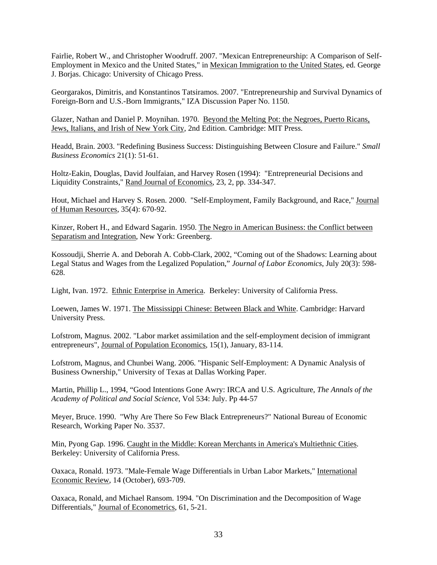Fairlie, Robert W., and Christopher Woodruff. 2007. "Mexican Entrepreneurship: A Comparison of Self-Employment in Mexico and the United States," in Mexican Immigration to the United States, ed. George J. Borjas. Chicago: University of Chicago Press.

Georgarakos, Dimitris, and Konstantinos Tatsiramos. 2007. "Entrepreneurship and Survival Dynamics of Foreign-Born and U.S.-Born Immigrants," IZA Discussion Paper No. 1150.

Glazer, Nathan and Daniel P. Moynihan. 1970. Beyond the Melting Pot: the Negroes, Puerto Ricans, Jews, Italians, and Irish of New York City, 2nd Edition. Cambridge: MIT Press.

Headd, Brain. 2003. "Redefining Business Success: Distinguishing Between Closure and Failure." *Small Business Economics* 21(1): 51-61.

Holtz-Eakin, Douglas, David Joulfaian, and Harvey Rosen (1994): "Entrepreneurial Decisions and Liquidity Constraints," Rand Journal of Economics, 23, 2, pp. 334-347.

Hout, Michael and Harvey S. Rosen. 2000. "Self-Employment, Family Background, and Race," Journal of Human Resources, 35(4): 670-92.

Kinzer, Robert H., and Edward Sagarin. 1950. The Negro in American Business: the Conflict between Separatism and Integration, New York: Greenberg.

Kossoudji, Sherrie A. and Deborah A. Cobb-Clark, 2002, "Coming out of the Shadows: Learning about Legal Status and Wages from the Legalized Population," *Journal of Labor Economics*, July 20(3): 598- 628.

Light, Ivan. 1972. Ethnic Enterprise in America. Berkeley: University of California Press.

Loewen, James W. 1971. The Mississippi Chinese: Between Black and White. Cambridge: Harvard University Press.

Lofstrom, Magnus. 2002. "Labor market assimilation and the self-employment decision of immigrant entrepreneurs", Journal of Population Economics, 15(1), January, 83-114.

Lofstrom, Magnus, and Chunbei Wang. 2006. "Hispanic Self-Employment: A Dynamic Analysis of Business Ownership," University of Texas at Dallas Working Paper.

Martin, Phillip L., 1994, "Good Intentions Gone Awry: IRCA and U.S. Agriculture, *The Annals of the Academy of Political and Social Science*, Vol 534: July. Pp 44-57

Meyer, Bruce. 1990. "Why Are There So Few Black Entrepreneurs?" National Bureau of Economic Research, Working Paper No. 3537.

Min, Pyong Gap. 1996. Caught in the Middle: Korean Merchants in America's Multiethnic Cities. Berkeley: University of California Press.

Oaxaca, Ronald. 1973. "Male-Female Wage Differentials in Urban Labor Markets," International Economic Review, 14 (October), 693-709.

Oaxaca, Ronald, and Michael Ransom. 1994. "On Discrimination and the Decomposition of Wage Differentials," Journal of Econometrics, 61, 5-21.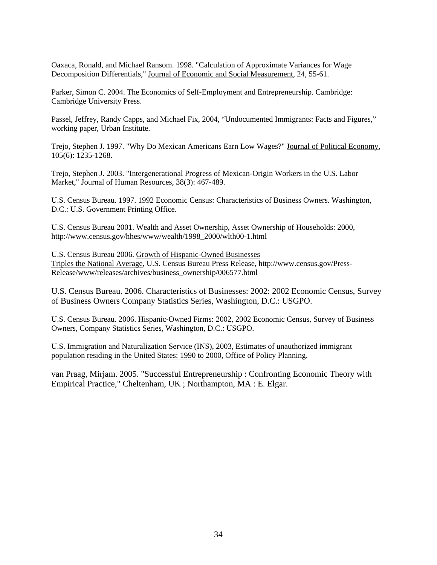Oaxaca, Ronald, and Michael Ransom. 1998. "Calculation of Approximate Variances for Wage Decomposition Differentials," Journal of Economic and Social Measurement, 24, 55-61.

Parker, Simon C. 2004. The Economics of Self-Employment and Entrepreneurship. Cambridge: Cambridge University Press.

Passel, Jeffrey, Randy Capps, and Michael Fix, 2004, "Undocumented Immigrants: Facts and Figures," working paper, Urban Institute.

Trejo, Stephen J. 1997. "Why Do Mexican Americans Earn Low Wages?" Journal of Political Economy, 105(6): 1235-1268.

Trejo, Stephen J. 2003. "Intergenerational Progress of Mexican-Origin Workers in the U.S. Labor Market," Journal of Human Resources, 38(3): 467-489.

U.S. Census Bureau. 1997. 1992 Economic Census: Characteristics of Business Owners. Washington, D.C.: U.S. Government Printing Office.

U.S. Census Bureau 2001. Wealth and Asset Ownership, Asset Ownership of Households: 2000, http://www.census.gov/hhes/www/wealth/1998\_2000/wlth00-1.html

U.S. Census Bureau 2006. Growth of Hispanic-Owned Businesses Triples the National Average, U.S. Census Bureau Press Release, http://www.census.gov/Press-Release/www/releases/archives/business\_ownership/006577.html

U.S. Census Bureau. 2006. Characteristics of Businesses: 2002: 2002 Economic Census, Survey of Business Owners Company Statistics Series, Washington, D.C.: USGPO.

U.S. Census Bureau. 2006. Hispanic-Owned Firms: 2002, 2002 Economic Census, Survey of Business Owners, Company Statistics Series, Washington, D.C.: USGPO.

U.S. Immigration and Naturalization Service (INS), 2003, Estimates of unauthorized immigrant population residing in the United States: 1990 to 2000, Office of Policy Planning.

van Praag, Mirjam. 2005. "Successful Entrepreneurship : Confronting Economic Theory with Empirical Practice," Cheltenham, UK ; Northampton, MA : E. Elgar.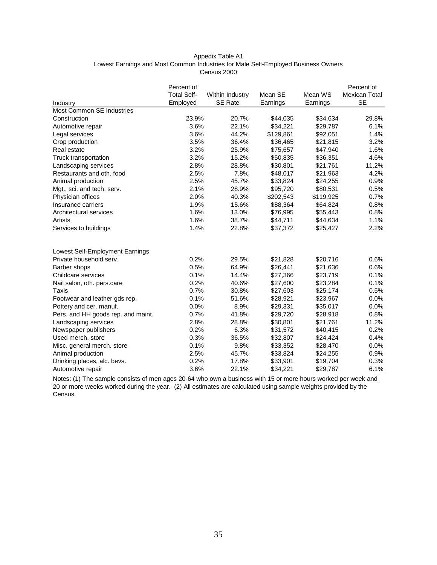| Appedix Table A1                                                                  |
|-----------------------------------------------------------------------------------|
| Lowest Earnings and Most Common Industries for Male Self-Employed Business Owners |
| Census 2000                                                                       |

|                                              | Percent of<br><b>Total Self-</b> | Within Industry<br><b>SE Rate</b> | Mean SE               | Mean WS              | Percent of<br>Mexican Total<br><b>SE</b> |
|----------------------------------------------|----------------------------------|-----------------------------------|-----------------------|----------------------|------------------------------------------|
| Industry<br><b>Most Common SE Industries</b> | Employed                         |                                   | Earnings              | Earnings             |                                          |
| Construction                                 | 23.9%                            | 20.7%                             |                       |                      | 29.8%                                    |
|                                              | 3.6%                             | 22.1%                             | \$44,035              | \$34,634             | 6.1%                                     |
| Automotive repair                            | 3.6%                             | 44.2%                             | \$34,221<br>\$129,861 | \$29,787<br>\$92,051 | 1.4%                                     |
| Legal services<br>Crop production            | 3.5%                             | 36.4%                             | \$36,465              | \$21,815             | 3.2%                                     |
| Real estate                                  | 3.2%                             | 25.9%                             | \$75,657              | \$47,940             | 1.6%                                     |
|                                              |                                  |                                   |                       |                      |                                          |
| Truck transportation                         | 3.2%                             | 15.2%                             | \$50,835              | \$36,351             | 4.6%                                     |
| Landscaping services                         | 2.8%                             | 28.8%                             | \$30,801              | \$21,761             | 11.2%                                    |
| Restaurants and oth, food                    | 2.5%                             | 7.8%                              | \$48,017              | \$21,963             | 4.2%                                     |
| Animal production                            | 2.5%                             | 45.7%                             | \$33,824              | \$24,255             | 0.9%                                     |
| Mgt., sci. and tech. serv.                   | 2.1%                             | 28.9%                             | \$95,720              | \$80,531             | 0.5%                                     |
| Physician offices                            | 2.0%                             | 40.3%                             | \$202,543             | \$119,925            | 0.7%                                     |
| Insurance carriers                           | 1.9%                             | 15.6%                             | \$88,364              | \$64,824             | 0.8%                                     |
| Architectural services                       | 1.6%                             | 13.0%                             | \$76,995              | \$55,443             | 0.8%                                     |
| Artists                                      | 1.6%                             | 38.7%                             | \$44,711              | \$44,634             | 1.1%                                     |
| Services to buildings                        | 1.4%                             | 22.8%                             | \$37,372              | \$25,427             | 2.2%                                     |
| Lowest Self-Employment Earnings              |                                  |                                   |                       |                      |                                          |
| Private household serv.                      | 0.2%                             | 29.5%                             | \$21,828              | \$20,716             | 0.6%                                     |
| Barber shops                                 | 0.5%                             | 64.9%                             | \$26,441              | \$21,636             | 0.6%                                     |
| Childcare services                           | 0.1%                             | 14.4%                             | \$27,366              | \$23,719             | 0.1%                                     |
| Nail salon, oth. pers.care                   | 0.2%                             | 40.6%                             | \$27,600              | \$23,284             | 0.1%                                     |
| Taxis                                        | 0.7%                             | 30.8%                             | \$27,603              | \$25,174             | 0.5%                                     |
| Footwear and leather gds rep.                | 0.1%                             | 51.6%                             | \$28,921              | \$23,967             | 0.0%                                     |
| Pottery and cer. manuf.                      | 0.0%                             | 8.9%                              | \$29,331              | \$35,017             | 0.0%                                     |
| Pers. and HH goods rep. and maint.           | 0.7%                             | 41.8%                             | \$29,720              | \$28,918             | 0.8%                                     |
| Landscaping services                         | 2.8%                             | 28.8%                             | \$30,801              | \$21,761             | 11.2%                                    |
| Newspaper publishers                         | 0.2%                             | 6.3%                              | \$31,572              | \$40,415             | 0.2%                                     |
| Used merch. store                            | 0.3%                             | 36.5%                             | \$32,807              | \$24,424             | 0.4%                                     |
| Misc. general merch. store                   | 0.1%                             | 9.8%                              | \$33,352              | \$28,470             | 0.0%                                     |
| Animal production                            | 2.5%                             | 45.7%                             | \$33,824              | \$24,255             | 0.9%                                     |
| Drinking places, alc. bevs.                  | 0.2%                             | 17.8%                             | \$33,901              | \$19,704             | 0.3%                                     |
| Automotive repair                            | 3.6%                             | 22.1%                             | \$34,221              | \$29,787             | 6.1%                                     |

Notes: (1) The sample consists of men ages 20-64 who own a business with 15 or more hours worked per week and 20 or more weeks worked during the year. (2) All estimates are calculated using sample weights provided by the Census.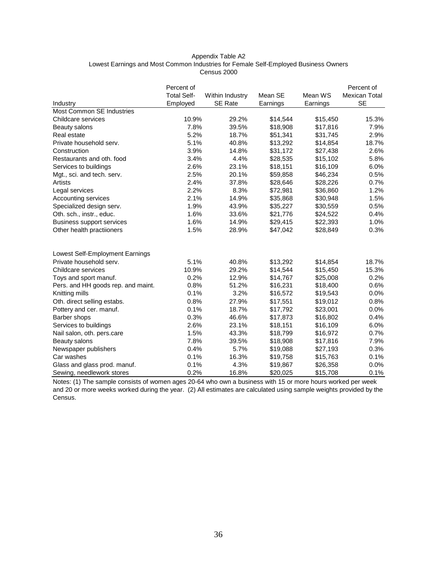| Appendix Table A2                                                                   |
|-------------------------------------------------------------------------------------|
| Lowest Earnings and Most Common Industries for Female Self-Employed Business Owners |
| Census 2000                                                                         |

|                                    | Percent of<br><b>Total Self-</b> | Within Industry | Mean SE  | Mean WS  | Percent of<br>Mexican Total |
|------------------------------------|----------------------------------|-----------------|----------|----------|-----------------------------|
| Industry                           | Employed                         | <b>SE Rate</b>  | Earnings | Earnings | <b>SE</b>                   |
| <b>Most Common SE Industries</b>   |                                  |                 |          |          |                             |
| Childcare services                 | 10.9%                            | 29.2%           | \$14,544 | \$15,450 | 15.3%                       |
| Beauty salons                      | 7.8%                             | 39.5%           | \$18,908 | \$17,816 | 7.9%                        |
| Real estate                        | 5.2%                             | 18.7%           | \$51,341 | \$31,745 | 2.9%                        |
| Private household serv.            | 5.1%                             | 40.8%           | \$13,292 | \$14,854 | 18.7%                       |
| Construction                       | 3.9%                             | 14.8%           | \$31,172 | \$27,438 | 2.6%                        |
| Restaurants and oth, food          | 3.4%                             | 4.4%            | \$28,535 | \$15,102 | 5.8%                        |
| Services to buildings              | 2.6%                             | 23.1%           | \$18,151 | \$16,109 | 6.0%                        |
| Mgt., sci. and tech. serv.         | 2.5%                             | 20.1%           | \$59,858 | \$46,234 | 0.5%                        |
| Artists                            | 2.4%                             | 37.8%           | \$28,646 | \$28,226 | 0.7%                        |
| Legal services                     | 2.2%                             | 8.3%            | \$72,981 | \$36,860 | 1.2%                        |
| Accounting services                | 2.1%                             | 14.9%           | \$35,868 | \$30,948 | 1.5%                        |
| Specialized design serv.           | 1.9%                             | 43.9%           | \$35,227 | \$30,559 | 0.5%                        |
| Oth. sch., instr., educ.           | 1.6%                             | 33.6%           | \$21,776 | \$24,522 | 0.4%                        |
| <b>Business support services</b>   | 1.6%                             | 14.9%           | \$29,415 | \$22,393 | 1.0%                        |
| Other health practiioners          | 1.5%                             | 28.9%           | \$47,042 | \$28,849 | 0.3%                        |
| Lowest Self-Employment Earnings    |                                  |                 |          |          |                             |
| Private household serv.            | 5.1%                             | 40.8%           | \$13,292 | \$14,854 | 18.7%                       |
| Childcare services                 | 10.9%                            | 29.2%           | \$14,544 | \$15,450 | 15.3%                       |
| Toys and sport manuf.              | 0.2%                             | 12.9%           | \$14,767 | \$25,008 | 0.2%                        |
| Pers. and HH goods rep. and maint. | 0.8%                             | 51.2%           | \$16,231 | \$18,400 | 0.6%                        |
| Knitting mills                     | 0.1%                             | 3.2%            | \$16,572 | \$19,543 | 0.0%                        |
| Oth. direct selling estabs.        | 0.8%                             | 27.9%           | \$17,551 | \$19,012 | 0.8%                        |
| Pottery and cer. manuf.            | 0.1%                             | 18.7%           | \$17,792 | \$23,001 | 0.0%                        |
| Barber shops                       | 0.3%                             | 46.6%           | \$17,873 | \$16,802 | 0.4%                        |
| Services to buildings              | 2.6%                             | 23.1%           | \$18,151 | \$16,109 | 6.0%                        |
| Nail salon, oth. pers.care         | 1.5%                             | 43.3%           | \$18,799 | \$16,972 | 0.7%                        |
| Beauty salons                      | 7.8%                             | 39.5%           | \$18,908 | \$17,816 | 7.9%                        |
| Newspaper publishers               | 0.4%                             | 5.7%            | \$19,088 | \$27,193 | 0.3%                        |
| Car washes                         | 0.1%                             | 16.3%           | \$19,758 | \$15,763 | 0.1%                        |
| Glass and glass prod. manuf.       | 0.1%                             | 4.3%            | \$19,867 | \$26,358 | 0.0%                        |
| Sewing, needlework stores          | 0.2%                             | 16.8%           | \$20,025 | \$15,708 | 0.1%                        |

Notes: (1) The sample consists of women ages 20-64 who own a business with 15 or more hours worked per week and 20 or more weeks worked during the year. (2) All estimates are calculated using sample weights provided by the Census.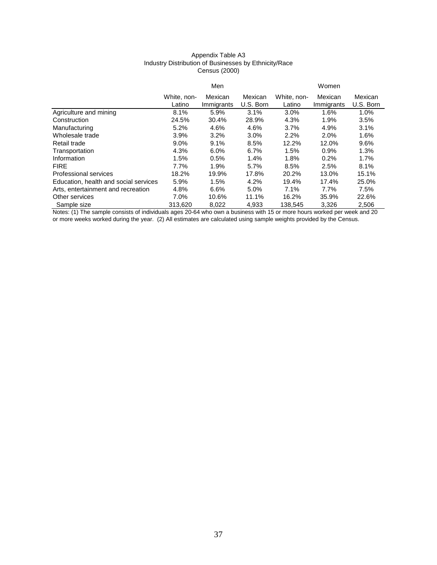### Appendix Table A3 Industry Distribution of Businesses by Ethnicity/Race Census (2000)

|                                       | Men         |            |           | Women       |            |           |
|---------------------------------------|-------------|------------|-----------|-------------|------------|-----------|
|                                       | White, non- | Mexican    | Mexican   | White, non- | Mexican    | Mexican   |
|                                       | Latino      | Immigrants | U.S. Born | Latino      | Immigrants | U.S. Born |
| Agriculture and mining                | 8.1%        | 5.9%       | 3.1%      | 3.0%        | 1.6%       | 1.0%      |
| Construction                          | 24.5%       | 30.4%      | 28.9%     | 4.3%        | 1.9%       | 3.5%      |
| Manufacturing                         | 5.2%        | 4.6%       | 4.6%      | 3.7%        | 4.9%       | 3.1%      |
| Wholesale trade                       | 3.9%        | 3.2%       | 3.0%      | 2.2%        | 2.0%       | 1.6%      |
| Retail trade                          | 9.0%        | 9.1%       | 8.5%      | 12.2%       | 12.0%      | $9.6\%$   |
| Transportation                        | 4.3%        | 6.0%       | 6.7%      | 1.5%        | 0.9%       | 1.3%      |
| Information                           | 1.5%        | 0.5%       | 1.4%      | 1.8%        | 0.2%       | 1.7%      |
| <b>FIRE</b>                           | 7.7%        | 1.9%       | 5.7%      | 8.5%        | 2.5%       | 8.1%      |
| Professional services                 | 18.2%       | 19.9%      | 17.8%     | 20.2%       | 13.0%      | 15.1%     |
| Education, health and social services | 5.9%        | 1.5%       | 4.2%      | 19.4%       | 17.4%      | 25.0%     |
| Arts, entertainment and recreation    | 4.8%        | 6.6%       | 5.0%      | 7.1%        | 7.7%       | 7.5%      |
| Other services                        | 7.0%        | 10.6%      | 11.1%     | 16.2%       | 35.9%      | 22.6%     |
| Sample size                           | 313.620     | 8,022      | 4.933     | 138.545     | 3,326      | 2,506     |

Notes: (1) The sample consists of individuals ages 20-64 who own a business with 15 or more hours worked per week and 20 or more weeks worked during the year. (2) All estimates are calculated using sample weights provided by the Census.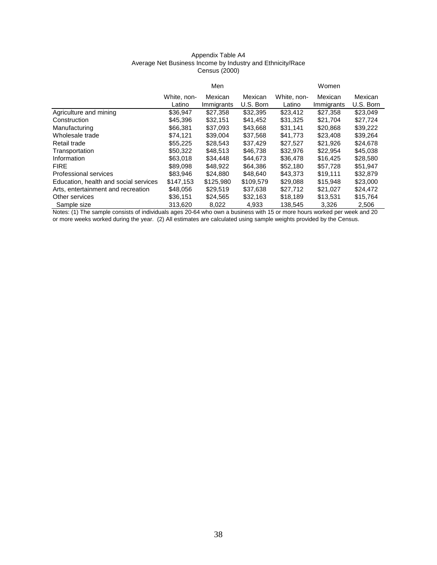### Appendix Table A4 Average Net Business Income by Industry and Ethnicity/Race Census (2000)

|                                       | Men         |            |           | Women       |            |           |
|---------------------------------------|-------------|------------|-----------|-------------|------------|-----------|
|                                       | White, non- | Mexican    | Mexican   | White, non- | Mexican    | Mexican   |
|                                       | Latino      | Immigrants | U.S. Born | Latino      | Immigrants | U.S. Born |
| Agriculture and mining                | \$36,947    | \$27.358   | \$32,395  | \$23,412    | \$27,358   | \$23.049  |
| Construction                          | \$45,396    | \$32,151   | \$41.452  | \$31,325    | \$21.704   | \$27.724  |
| Manufacturing                         | \$66.381    | \$37,093   | \$43,668  | \$31.141    | \$20,868   | \$39,222  |
| Wholesale trade                       | \$74,121    | \$39,004   | \$37,568  | \$41,773    | \$23,408   | \$39,264  |
| Retail trade                          | \$55,225    | \$28.543   | \$37,429  | \$27.527    | \$21.926   | \$24.678  |
| Transportation                        | \$50,322    | \$48,513   | \$46,738  | \$32,976    | \$22,954   | \$45,038  |
| Information                           | \$63,018    | \$34,448   | \$44,673  | \$36,478    | \$16,425   | \$28,580  |
| <b>FIRE</b>                           | \$89,098    | \$48,922   | \$64,386  | \$52,180    | \$57,728   | \$51,947  |
| Professional services                 | \$83.946    | \$24,880   | \$48,640  | \$43,373    | \$19,111   | \$32.879  |
| Education, health and social services | \$147,153   | \$125,980  | \$109,579 | \$29,088    | \$15,948   | \$23,000  |
| Arts, entertainment and recreation    | \$48,056    | \$29,519   | \$37,638  | \$27.712    | \$21,027   | \$24,472  |
| Other services                        | \$36,151    | \$24,565   | \$32,163  | \$18,189    | \$13,531   | \$15,764  |
| Sample size                           | 313,620     | 8,022      | 4,933     | 138,545     | 3,326      | 2,506     |

Notes: (1) The sample consists of individuals ages 20-64 who own a business with 15 or more hours worked per week and 20 or more weeks worked during the year. (2) All estimates are calculated using sample weights provided by the Census.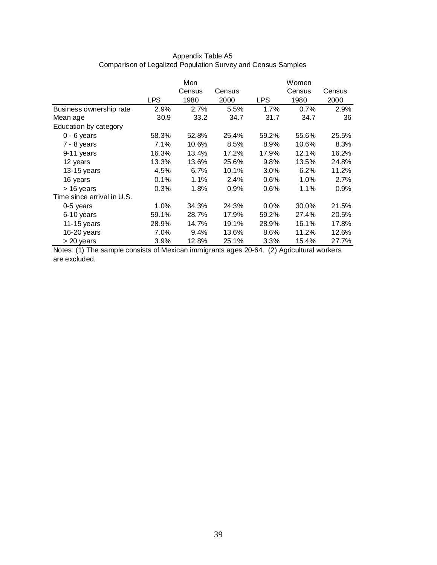| Appendix Table A5                                            |
|--------------------------------------------------------------|
| Comparison of Legalized Population Survey and Census Samples |

|                            |            | Men    |         |            | Women   |        |
|----------------------------|------------|--------|---------|------------|---------|--------|
|                            |            | Census | Census  |            | Census  | Census |
|                            | <b>LPS</b> | 1980   | 2000    | <b>LPS</b> | 1980    | 2000   |
| Business ownership rate    | 2.9%       | 2.7%   | 5.5%    | 1.7%       | 0.7%    | 2.9%   |
| Mean age                   | 30.9       | 33.2   | 34.7    | 31.7       | 34.7    | 36     |
| Education by category      |            |        |         |            |         |        |
| $0 - 6$ years              | 58.3%      | 52.8%  | 25.4%   | 59.2%      | 55.6%   | 25.5%  |
| $7 - 8$ years              | 7.1%       | 10.6%  | 8.5%    | 8.9%       | 10.6%   | 8.3%   |
| 9-11 years                 | 16.3%      | 13.4%  | 17.2%   | 17.9%      | 12.1%   | 16.2%  |
| 12 years                   | 13.3%      | 13.6%  | 25.6%   | 9.8%       | 13.5%   | 24.8%  |
| 13-15 years                | 4.5%       | 6.7%   | 10.1%   | 3.0%       | 6.2%    | 11.2%  |
| 16 years                   | 0.1%       | 1.1%   | 2.4%    | 0.6%       | $1.0\%$ | 2.7%   |
| > 16 years                 | 0.3%       | 1.8%   | $0.9\%$ | 0.6%       | 1.1%    | 0.9%   |
| Time since arrival in U.S. |            |        |         |            |         |        |
| 0-5 years                  | 1.0%       | 34.3%  | 24.3%   | 0.0%       | 30.0%   | 21.5%  |
| 6-10 years                 | 59.1%      | 28.7%  | 17.9%   | 59.2%      | 27.4%   | 20.5%  |
| 11-15 years                | 28.9%      | 14.7%  | 19.1%   | 28.9%      | 16.1%   | 17.8%  |
| $16-20$ years              | 7.0%       | 9.4%   | 13.6%   | 8.6%       | 11.2%   | 12.6%  |
| > 20 years                 | 3.9%       | 12.8%  | 25.1%   | 3.3%       | 15.4%   | 27.7%  |

Notes: (1) The sample consists of Mexican immigrants ages 20-64. (2) Agricultural workers are excluded.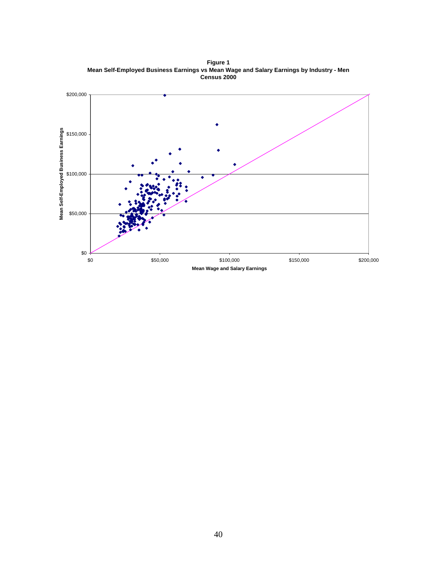**Figure 1 Mean Self-Employed Business Earnings vs Mean Wage and Salary Earnings by Industry - Men Census 2000**

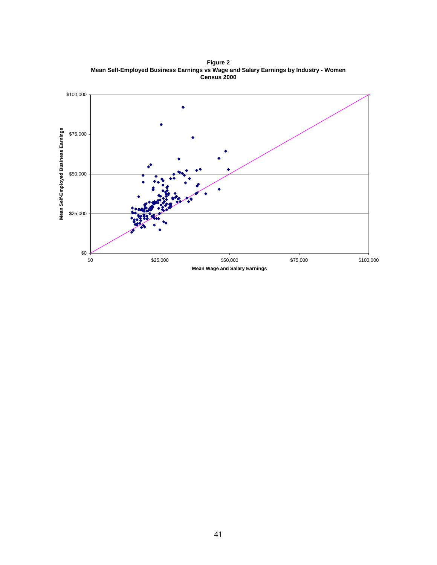\$100,000  $\bullet$ Mean Self-Employed Business Earnings **Mean Self-Employed Business Earnings** \$75,000 \$50,000 \$25,000 \$0 \$0 \$25,000 \$50,000 \$75,000 \$100,000 **Mean Wage and Salary Earnings**

**Figure 2 Mean Self-Employed Business Earnings vs Wage and Salary Earnings by Industry - Women Census 2000**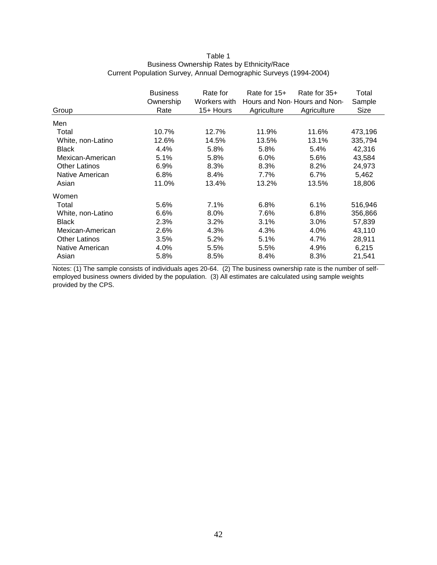### Table 1 Business Ownership Rates by Ethnicity/Race Current Population Survey, Annual Demographic Surveys (1994-2004)

|                      | <b>Business</b><br>Ownership | Rate for<br>Workers with | Rate for 15+ | Rate for 35+<br>Hours and Non-Hours and Non- | Total<br>Sample |
|----------------------|------------------------------|--------------------------|--------------|----------------------------------------------|-----------------|
| Group                | Rate                         | 15+ Hours                | Agriculture  | Agriculture                                  | Size            |
| Men                  |                              |                          |              |                                              |                 |
| Total                | 10.7%                        | 12.7%                    | 11.9%        | 11.6%                                        | 473,196         |
| White, non-Latino    | 12.6%                        | 14.5%                    | 13.5%        | 13.1%                                        | 335,794         |
| <b>Black</b>         | 4.4%                         | 5.8%                     | 5.8%         | 5.4%                                         | 42,316          |
| Mexican-American     | 5.1%                         | 5.8%                     | 6.0%         | 5.6%                                         | 43,584          |
| <b>Other Latinos</b> | 6.9%                         | 8.3%                     | 8.3%         | 8.2%                                         | 24,973          |
| Native American      | 6.8%                         | 8.4%                     | 7.7%         | 6.7%                                         | 5,462           |
| Asian                | 11.0%                        | 13.4%                    | 13.2%        | 13.5%                                        | 18,806          |
| Women                |                              |                          |              |                                              |                 |
| Total                | 5.6%                         | 7.1%                     | 6.8%         | 6.1%                                         | 516,946         |
| White, non-Latino    | 6.6%                         | 8.0%                     | 7.6%         | 6.8%                                         | 356,866         |
| <b>Black</b>         | 2.3%                         | 3.2%                     | 3.1%         | 3.0%                                         | 57,839          |
| Mexican-American     | 2.6%                         | 4.3%                     | 4.3%         | 4.0%                                         | 43,110          |
| <b>Other Latinos</b> | 3.5%                         | 5.2%                     | 5.1%         | 4.7%                                         | 28,911          |
| Native American      | 4.0%                         | 5.5%                     | 5.5%         | 4.9%                                         | 6,215           |
| Asian                | 5.8%                         | 8.5%                     | 8.4%         | 8.3%                                         | 21,541          |

Notes: (1) The sample consists of individuals ages 20-64. (2) The business ownership rate is the number of selfemployed business owners divided by the population. (3) All estimates are calculated using sample weights provided by the CPS.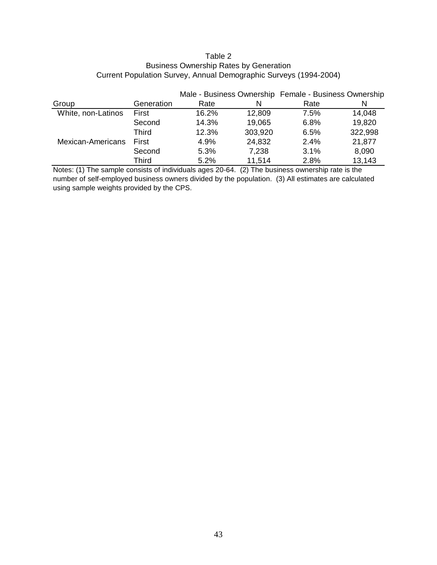### Table 2 Business Ownership Rates by Generation Current Population Survey, Annual Demographic Surveys (1994-2004)

|                    |            |       |         | Male - Business Ownership Female - Business Ownership |         |
|--------------------|------------|-------|---------|-------------------------------------------------------|---------|
| Group              | Generation | Rate  | N       | Rate                                                  | N       |
| White, non-Latinos | First      | 16.2% | 12,809  | 7.5%                                                  | 14,048  |
|                    | Second     | 14.3% | 19,065  | 6.8%                                                  | 19,820  |
|                    | Third      | 12.3% | 303,920 | 6.5%                                                  | 322,998 |
| Mexican-Americans  | First      | 4.9%  | 24,832  | 2.4%                                                  | 21,877  |
|                    | Second     | 5.3%  | 7,238   | 3.1%                                                  | 8,090   |
|                    | Third      | 5.2%  | 11,514  | 2.8%                                                  | 13,143  |

Notes: (1) The sample consists of individuals ages 20-64. (2) The business ownership rate is the number of self-employed business owners divided by the population. (3) All estimates are calculated using sample weights provided by the CPS.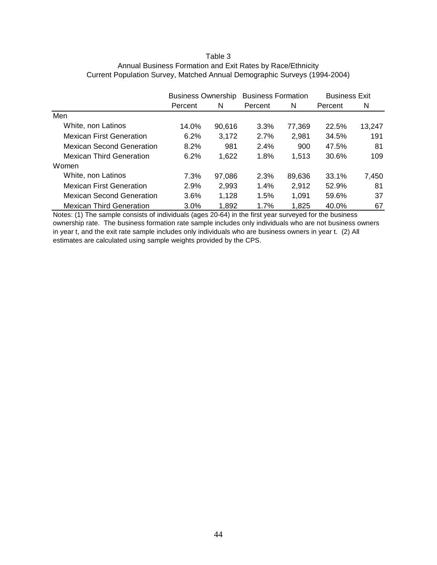### Table 3 Annual Business Formation and Exit Rates by Race/Ethnicity Current Population Survey, Matched Annual Demographic Surveys (1994-2004)

|                                 | <b>Business Ownership</b> |        | <b>Business Formation</b> |        | <b>Business Exit</b> |        |
|---------------------------------|---------------------------|--------|---------------------------|--------|----------------------|--------|
|                                 | Percent                   | N      | Percent                   | N      | Percent              | N      |
| Men                             |                           |        |                           |        |                      |        |
| White, non Latinos              | 14.0%                     | 90,616 | 3.3%                      | 77,369 | 22.5%                | 13,247 |
| <b>Mexican First Generation</b> | 6.2%                      | 3,172  | 2.7%                      | 2,981  | 34.5%                | 191    |
| Mexican Second Generation       | 8.2%                      | 981    | 2.4%                      | 900    | 47.5%                | 81     |
| <b>Mexican Third Generation</b> | 6.2%                      | 1,622  | 1.8%                      | 1.513  | 30.6%                | 109    |
| Women                           |                           |        |                           |        |                      |        |
| White, non Latinos              | 7.3%                      | 97,086 | 2.3%                      | 89,636 | 33.1%                | 7,450  |
| <b>Mexican First Generation</b> | 2.9%                      | 2,993  | 1.4%                      | 2,912  | 52.9%                | 81     |
| Mexican Second Generation       | 3.6%                      | 1,128  | 1.5%                      | 1,091  | 59.6%                | 37     |
| <b>Mexican Third Generation</b> | $3.0\%$                   | 1,892  | 1.7%                      | 1,825  | 40.0%                | 67     |

Notes: (1) The sample consists of individuals (ages 20-64) in the first year surveyed for the business ownership rate. The business formation rate sample includes only individuals who are not business owners in year t, and the exit rate sample includes only individuals who are business owners in year t. (2) All estimates are calculated using sample weights provided by the CPS.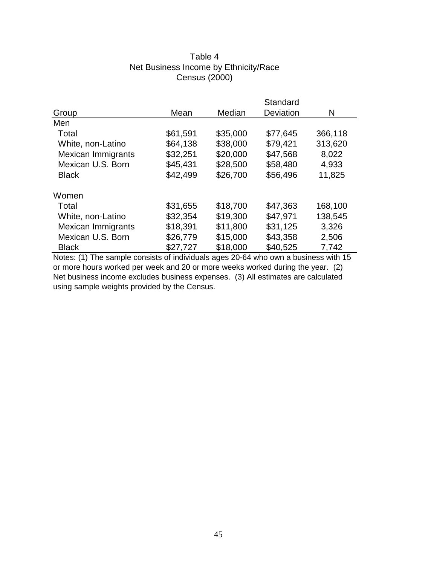## Table 4 Net Business Income by Ethnicity/Race Census (2000)

|                           |          |          | Standard  |         |
|---------------------------|----------|----------|-----------|---------|
| Group                     | Mean     | Median   | Deviation | N       |
| Men                       |          |          |           |         |
| Total                     | \$61,591 | \$35,000 | \$77,645  | 366,118 |
| White, non-Latino         | \$64,138 | \$38,000 | \$79,421  | 313,620 |
| <b>Mexican Immigrants</b> | \$32,251 | \$20,000 | \$47,568  | 8,022   |
| Mexican U.S. Born         | \$45,431 | \$28,500 | \$58,480  | 4,933   |
| <b>Black</b>              | \$42,499 | \$26,700 | \$56,496  | 11,825  |
| Women                     |          |          |           |         |
| Total                     | \$31,655 | \$18,700 | \$47,363  | 168,100 |
| White, non-Latino         | \$32,354 | \$19,300 | \$47,971  | 138,545 |
| <b>Mexican Immigrants</b> | \$18,391 | \$11,800 | \$31,125  | 3,326   |
| Mexican U.S. Born         | \$26,779 | \$15,000 | \$43,358  | 2,506   |
| <b>Black</b>              | \$27,727 | \$18,000 | \$40,525  | 7,742   |

Notes: (1) The sample consists of individuals ages 20-64 who own a business with 15 or more hours worked per week and 20 or more weeks worked during the year. (2) Net business income excludes business expenses. (3) All estimates are calculated using sample weights provided by the Census.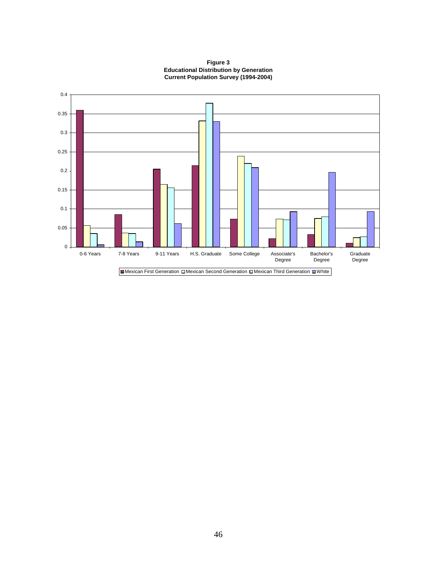

**Figure 3 Educational Distribution by Generation Current Population Survey (1994-2004)**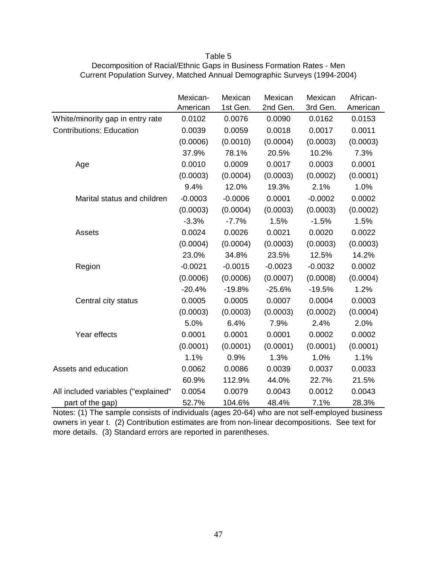Table 5 Decomposition of Racial/Ethnic Gaps in Business Formation Rates - Men Current Population Survey, Matched Annual Demographic Surveys (1994-2004)

|                                     | Mexican-  | Mexican   | Mexican   | Mexican   | African- |
|-------------------------------------|-----------|-----------|-----------|-----------|----------|
|                                     | American  | 1st Gen.  | 2nd Gen.  | 3rd Gen.  | American |
| White/minority gap in entry rate    | 0.0102    | 0.0076    | 0.0090    | 0.0162    | 0.0153   |
| <b>Contributions: Education</b>     | 0.0039    | 0.0059    | 0.0018    | 0.0017    | 0.0011   |
|                                     | (0.0006)  | (0.0010)  | (0.0004)  | (0.0003)  | (0.0003) |
|                                     | 37.9%     | 78.1%     | 20.5%     | 10.2%     | 7.3%     |
| Age                                 | 0.0010    | 0.0009    | 0.0017    | 0.0003    | 0.0001   |
|                                     | (0.0003)  | (0.0004)  | (0.0003)  | (0.0002)  | (0.0001) |
|                                     | 9.4%      | 12.0%     | 19.3%     | 2.1%      | 1.0%     |
| Marital status and children         | $-0.0003$ | $-0.0006$ | 0.0001    | $-0.0002$ | 0.0002   |
|                                     | (0.0003)  | (0.0004)  | (0.0003)  | (0.0003)  | (0.0002) |
|                                     | $-3.3%$   | $-7.7%$   | 1.5%      | $-1.5%$   | 1.5%     |
| Assets                              | 0.0024    | 0.0026    | 0.0021    | 0.0020    | 0.0022   |
|                                     | (0.0004)  | (0.0004)  | (0.0003)  | (0.0003)  | (0.0003) |
|                                     | 23.0%     | 34.8%     | 23.5%     | 12.5%     | 14.2%    |
| Region                              | $-0.0021$ | $-0.0015$ | $-0.0023$ | $-0.0032$ | 0.0002   |
|                                     | (0.0006)  | (0.0006)  | (0.0007)  | (0.0008)  | (0.0004) |
|                                     | $-20.4%$  | $-19.8%$  | $-25.6%$  | $-19.5%$  | 1.2%     |
| Central city status                 | 0.0005    | 0.0005    | 0.0007    | 0.0004    | 0.0003   |
|                                     | (0.0003)  | (0.0003)  | (0.0003)  | (0.0002)  | (0.0004) |
|                                     | 5.0%      | 6.4%      | 7.9%      | 2.4%      | 2.0%     |
| Year effects                        | 0.0001    | 0.0001    | 0.0001    | 0.0002    | 0.0002   |
|                                     | (0.0001)  | (0.0001)  | (0.0001)  | (0.0001)  | (0.0001) |
|                                     | 1.1%      | 0.9%      | 1.3%      | 1.0%      | 1.1%     |
| Assets and education                | 0.0062    | 0.0086    | 0.0039    | 0.0037    | 0.0033   |
|                                     | 60.9%     | 112.9%    | 44.0%     | 22.7%     | 21.5%    |
| All included variables ("explained" | 0.0054    | 0.0079    | 0.0043    | 0.0012    | 0.0043   |
| part of the gap)                    | 52.7%     | 104.6%    | 48.4%     | 7.1%      | 28.3%    |

Notes: (1) The sample consists of individuals (ages 20-64) who are not self-employed business owners in year t. (2) Contribution estimates are from non-linear decompositions. See text for more details. (3) Standard errors are reported in parentheses.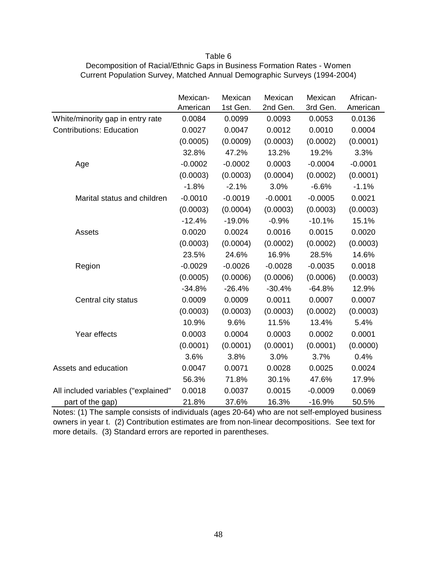Table 6 Decomposition of Racial/Ethnic Gaps in Business Formation Rates - Women Current Population Survey, Matched Annual Demographic Surveys (1994-2004)

|                                     | Mexican-  | Mexican   | Mexican   | Mexican   | African-  |
|-------------------------------------|-----------|-----------|-----------|-----------|-----------|
|                                     | American  | 1st Gen.  | 2nd Gen.  | 3rd Gen.  | American  |
| White/minority gap in entry rate    | 0.0084    | 0.0099    | 0.0093    | 0.0053    | 0.0136    |
| <b>Contributions: Education</b>     | 0.0027    | 0.0047    | 0.0012    | 0.0010    | 0.0004    |
|                                     | (0.0005)  | (0.0009)  | (0.0003)  | (0.0002)  | (0.0001)  |
|                                     | 32.8%     | 47.2%     | 13.2%     | 19.2%     | 3.3%      |
| Age                                 | $-0.0002$ | $-0.0002$ | 0.0003    | $-0.0004$ | $-0.0001$ |
|                                     | (0.0003)  | (0.0003)  | (0.0004)  | (0.0002)  | (0.0001)  |
|                                     | $-1.8%$   | $-2.1%$   | 3.0%      | $-6.6%$   | $-1.1%$   |
| Marital status and children         | $-0.0010$ | $-0.0019$ | $-0.0001$ | $-0.0005$ | 0.0021    |
|                                     | (0.0003)  | (0.0004)  | (0.0003)  | (0.0003)  | (0.0003)  |
|                                     | $-12.4%$  | $-19.0%$  | $-0.9%$   | $-10.1%$  | 15.1%     |
| Assets                              | 0.0020    | 0.0024    | 0.0016    | 0.0015    | 0.0020    |
|                                     | (0.0003)  | (0.0004)  | (0.0002)  | (0.0002)  | (0.0003)  |
|                                     | 23.5%     | 24.6%     | 16.9%     | 28.5%     | 14.6%     |
| Region                              | $-0.0029$ | $-0.0026$ | $-0.0028$ | $-0.0035$ | 0.0018    |
|                                     | (0.0005)  | (0.0006)  | (0.0006)  | (0.0006)  | (0.0003)  |
|                                     | $-34.8%$  | $-26.4%$  | $-30.4%$  | $-64.8%$  | 12.9%     |
| Central city status                 | 0.0009    | 0.0009    | 0.0011    | 0.0007    | 0.0007    |
|                                     | (0.0003)  | (0.0003)  | (0.0003)  | (0.0002)  | (0.0003)  |
|                                     | 10.9%     | 9.6%      | 11.5%     | 13.4%     | 5.4%      |
| Year effects                        | 0.0003    | 0.0004    | 0.0003    | 0.0002    | 0.0001    |
|                                     | (0.0001)  | (0.0001)  | (0.0001)  | (0.0001)  | (0.0000)  |
|                                     | 3.6%      | 3.8%      | 3.0%      | 3.7%      | 0.4%      |
| Assets and education                | 0.0047    | 0.0071    | 0.0028    | 0.0025    | 0.0024    |
|                                     | 56.3%     | 71.8%     | 30.1%     | 47.6%     | 17.9%     |
| All included variables ("explained" | 0.0018    | 0.0037    | 0.0015    | $-0.0009$ | 0.0069    |
| part of the gap)                    | 21.8%     | 37.6%     | 16.3%     | $-16.9%$  | 50.5%     |

Notes: (1) The sample consists of individuals (ages 20-64) who are not self-employed business owners in year t. (2) Contribution estimates are from non-linear decompositions. See text for more details. (3) Standard errors are reported in parentheses.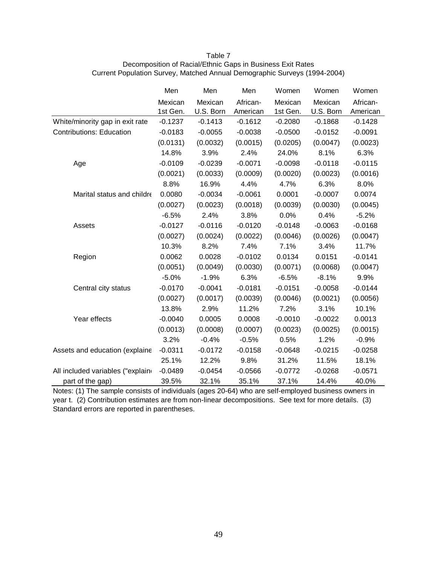Table 7 Decomposition of Racial/Ethnic Gaps in Business Exit Rates Current Population Survey, Matched Annual Demographic Surveys (1994-2004)

|                                  | Men       | Men       | Men       | Women     | Women     | Women     |
|----------------------------------|-----------|-----------|-----------|-----------|-----------|-----------|
|                                  | Mexican   | Mexican   | African-  | Mexican   | Mexican   | African-  |
|                                  | 1st Gen.  | U.S. Born | American  | 1st Gen.  | U.S. Born | American  |
| White/minority gap in exit rate  | $-0.1237$ | $-0.1413$ | $-0.1612$ | $-0.2080$ | $-0.1868$ | $-0.1428$ |
| <b>Contributions: Education</b>  | $-0.0183$ | $-0.0055$ | $-0.0038$ | $-0.0500$ | $-0.0152$ | $-0.0091$ |
|                                  | (0.0131)  | (0.0032)  | (0.0015)  | (0.0205)  | (0.0047)  | (0.0023)  |
|                                  | 14.8%     | 3.9%      | 2.4%      | 24.0%     | 8.1%      | 6.3%      |
| Age                              | $-0.0109$ | $-0.0239$ | $-0.0071$ | $-0.0098$ | $-0.0118$ | $-0.0115$ |
|                                  | (0.0021)  | (0.0033)  | (0.0009)  | (0.0020)  | (0.0023)  | (0.0016)  |
|                                  | 8.8%      | 16.9%     | 4.4%      | 4.7%      | 6.3%      | 8.0%      |
| Marital status and childre       | 0.0080    | $-0.0034$ | $-0.0061$ | 0.0001    | $-0.0007$ | 0.0074    |
|                                  | (0.0027)  | (0.0023)  | (0.0018)  | (0.0039)  | (0.0030)  | (0.0045)  |
|                                  | $-6.5%$   | 2.4%      | 3.8%      | 0.0%      | 0.4%      | $-5.2%$   |
| Assets                           | $-0.0127$ | $-0.0116$ | $-0.0120$ | $-0.0148$ | $-0.0063$ | $-0.0168$ |
|                                  | (0.0027)  | (0.0024)  | (0.0022)  | (0.0046)  | (0.0026)  | (0.0047)  |
|                                  | 10.3%     | 8.2%      | 7.4%      | 7.1%      | 3.4%      | 11.7%     |
| Region                           | 0.0062    | 0.0028    | $-0.0102$ | 0.0134    | 0.0151    | $-0.0141$ |
|                                  | (0.0051)  | (0.0049)  | (0.0030)  | (0.0071)  | (0.0068)  | (0.0047)  |
|                                  | $-5.0%$   | $-1.9%$   | 6.3%      | $-6.5%$   | $-8.1%$   | 9.9%      |
| Central city status              | $-0.0170$ | $-0.0041$ | $-0.0181$ | $-0.0151$ | $-0.0058$ | $-0.0144$ |
|                                  | (0.0027)  | (0.0017)  | (0.0039)  | (0.0046)  | (0.0021)  | (0.0056)  |
|                                  | 13.8%     | 2.9%      | 11.2%     | 7.2%      | 3.1%      | 10.1%     |
| Year effects                     | $-0.0040$ | 0.0005    | 0.0008    | $-0.0010$ | $-0.0022$ | 0.0013    |
|                                  | (0.0013)  | (0.0008)  | (0.0007)  | (0.0023)  | (0.0025)  | (0.0015)  |
|                                  | 3.2%      | $-0.4%$   | $-0.5%$   | 0.5%      | 1.2%      | $-0.9%$   |
| Assets and education (explaine   | $-0.0311$ | $-0.0172$ | $-0.0158$ | $-0.0648$ | $-0.0215$ | $-0.0258$ |
|                                  | 25.1%     | 12.2%     | 9.8%      | 31.2%     | 11.5%     | 18.1%     |
| All included variables ("explain | $-0.0489$ | $-0.0454$ | $-0.0566$ | $-0.0772$ | $-0.0268$ | $-0.0571$ |
| part of the gap)                 | 39.5%     | 32.1%     | 35.1%     | 37.1%     | 14.4%     | 40.0%     |

Notes: (1) The sample consists of individuals (ages 20-64) who are self-employed business owners in year t. (2) Contribution estimates are from non-linear decompositions. See text for more details. (3) Standard errors are reported in parentheses.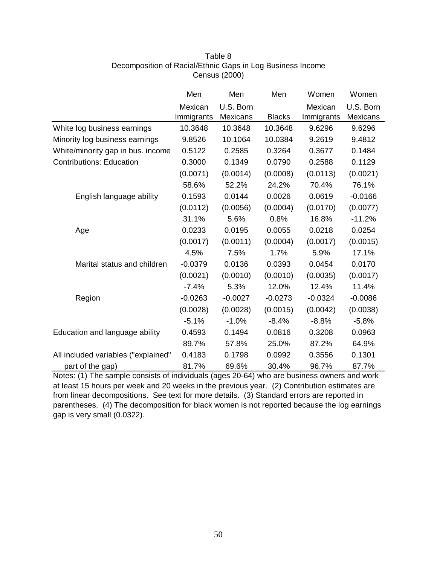|                                     | Men                   | Men                   | Men           | Women                 | Women                 |
|-------------------------------------|-----------------------|-----------------------|---------------|-----------------------|-----------------------|
|                                     | Mexican<br>Immigrants | U.S. Born<br>Mexicans | <b>Blacks</b> | Mexican<br>Immigrants | U.S. Born<br>Mexicans |
| White log business earnings         | 10.3648               | 10.3648               | 10.3648       | 9.6296                | 9.6296                |
| Minority log business earnings      | 9.8526                | 10.1064               | 10.0384       | 9.2619                | 9.4812                |
| White/minority gap in bus. income   | 0.5122                | 0.2585                | 0.3264        | 0.3677                | 0.1484                |
| <b>Contributions: Education</b>     | 0.3000                | 0.1349                | 0.0790        | 0.2588                | 0.1129                |
|                                     | (0.0071)              | (0.0014)              | (0.0008)      | (0.0113)              | (0.0021)              |
|                                     | 58.6%                 | 52.2%                 | 24.2%         | 70.4%                 | 76.1%                 |
| English language ability            | 0.1593                | 0.0144                | 0.0026        | 0.0619                | $-0.0166$             |
|                                     | (0.0112)              | (0.0056)              | (0.0004)      | (0.0170)              | (0.0077)              |
|                                     | 31.1%                 | 5.6%                  | 0.8%          | 16.8%                 | $-11.2%$              |
| Age                                 | 0.0233                | 0.0195                | 0.0055        | 0.0218                | 0.0254                |
|                                     | (0.0017)              | (0.0011)              | (0.0004)      | (0.0017)              | (0.0015)              |
|                                     | 4.5%                  | 7.5%                  | 1.7%          | 5.9%                  | 17.1%                 |
| Marital status and children         | $-0.0379$             | 0.0136                | 0.0393        | 0.0454                | 0.0170                |
|                                     | (0.0021)              | (0.0010)              | (0.0010)      | (0.0035)              | (0.0017)              |
|                                     | $-7.4%$               | 5.3%                  | 12.0%         | 12.4%                 | 11.4%                 |
| Region                              | $-0.0263$             | $-0.0027$             | $-0.0273$     | $-0.0324$             | $-0.0086$             |
|                                     | (0.0028)              | (0.0028)              | (0.0015)      | (0.0042)              | (0.0038)              |
|                                     | $-5.1%$               | $-1.0%$               | $-8.4%$       | $-8.8%$               | $-5.8%$               |
| Education and language ability      | 0.4593                | 0.1494                | 0.0816        | 0.3208                | 0.0963                |
|                                     | 89.7%                 | 57.8%                 | 25.0%         | 87.2%                 | 64.9%                 |
| All included variables ("explained" | 0.4183                | 0.1798                | 0.0992        | 0.3556                | 0.1301                |
| part of the gap)                    | 81.7%                 | 69.6%                 | 30.4%         | 96.7%                 | 87.7%                 |

### Table 8 Decomposition of Racial/Ethnic Gaps in Log Business Income Census (2000)

Notes: (1) The sample consists of individuals (ages 20-64) who are business owners and work at least 15 hours per week and 20 weeks in the previous year. (2) Contribution estimates are from linear decompositions. See text for more details. (3) Standard errors are reported in parentheses. (4) The decomposition for black women is not reported because the log earnings gap is very small (0.0322).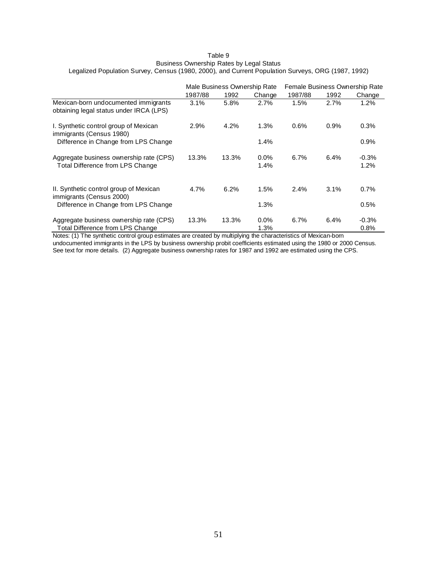### Table 9 Business Ownership Rates by Legal Status Legalized Population Survey, Census (1980, 2000), and Current Population Surveys, ORG (1987, 1992)

|                                                                                 | Male Business Ownership Rate |       |                 | Female Business Ownership Rate |      |                 |
|---------------------------------------------------------------------------------|------------------------------|-------|-----------------|--------------------------------|------|-----------------|
|                                                                                 | 1987/88                      | 1992  | Change          | 1987/88                        | 1992 | Change          |
| Mexican-born undocumented immigrants<br>obtaining legal status under IRCA (LPS) | 3.1%                         | 5.8%  | 2.7%            | 1.5%                           | 2.7% | 1.2%            |
| I. Synthetic control group of Mexican<br>immigrants (Census 1980)               | 2.9%                         | 4.2%  | 1.3%            | 0.6%                           | 0.9% | 0.3%            |
| Difference in Change from LPS Change                                            |                              |       | 1.4%            |                                |      | 0.9%            |
| Aggregate business ownership rate (CPS)<br>Total Difference from LPS Change     | 13.3%                        | 13.3% | $0.0\%$<br>1.4% | 6.7%                           | 6.4% | $-0.3%$<br>1.2% |
| II. Synthetic control group of Mexican<br>immigrants (Census 2000)              | 4.7%                         | 6.2%  | 1.5%            | 2.4%                           | 3.1% | 0.7%            |
| Difference in Change from LPS Change                                            |                              |       | 1.3%            |                                |      | 0.5%            |
| Aggregate business ownership rate (CPS)<br>Total Difference from LPS Change     | 13.3%                        | 13.3% | $0.0\%$<br>1.3% | 6.7%                           | 6.4% | $-0.3%$<br>0.8% |

Notes: (1) The synthetic control group estimates are created by multiplying the characteristics of Mexican-born undocumented immigrants in the LPS by business ownership probit coefficients estimated using the 1980 or 2000 Census. See text for more details. (2) Aggregate business ownership rates for 1987 and 1992 are estimated using the CPS.